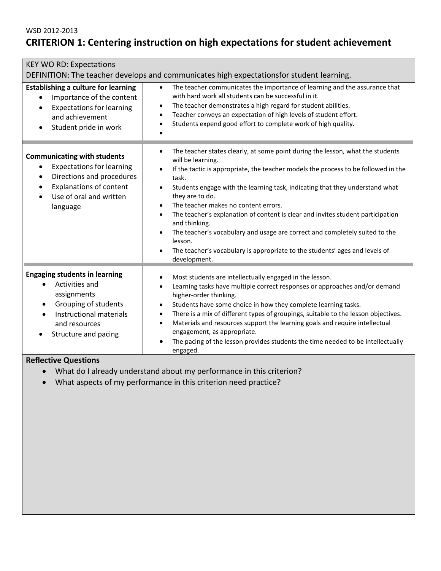# **CRITERION 1: Centering instruction on high expectations for student achievement**

| <b>KEY WO RD: Expectations</b>                                                                                                                                                                                      |                                                                                                                                                                                                                                                                                                                                                                                                                                                                                                                                                                                                                                                                                                                                       |  |  |
|---------------------------------------------------------------------------------------------------------------------------------------------------------------------------------------------------------------------|---------------------------------------------------------------------------------------------------------------------------------------------------------------------------------------------------------------------------------------------------------------------------------------------------------------------------------------------------------------------------------------------------------------------------------------------------------------------------------------------------------------------------------------------------------------------------------------------------------------------------------------------------------------------------------------------------------------------------------------|--|--|
| DEFINITION: The teacher develops and communicates high expectationsfor student learning.                                                                                                                            |                                                                                                                                                                                                                                                                                                                                                                                                                                                                                                                                                                                                                                                                                                                                       |  |  |
| <b>Establishing a culture for learning</b><br>Importance of the content<br>$\bullet$<br><b>Expectations for learning</b><br>$\bullet$<br>and achievement<br>Student pride in work<br>$\bullet$                      | The teacher communicates the importance of learning and the assurance that<br>$\bullet$<br>with hard work all students can be successful in it.<br>The teacher demonstrates a high regard for student abilities.<br>$\bullet$<br>Teacher conveys an expectation of high levels of student effort.<br>$\bullet$<br>Students expend good effort to complete work of high quality.<br>$\bullet$                                                                                                                                                                                                                                                                                                                                          |  |  |
| <b>Communicating with students</b><br><b>Expectations for learning</b><br>$\bullet$<br>Directions and procedures<br>$\bullet$<br><b>Explanations of content</b><br>$\bullet$<br>Use of oral and written<br>language | The teacher states clearly, at some point during the lesson, what the students<br>$\bullet$<br>will be learning.<br>If the tactic is appropriate, the teacher models the process to be followed in the<br>$\bullet$<br>task.<br>Students engage with the learning task, indicating that they understand what<br>$\bullet$<br>they are to do.<br>The teacher makes no content errors.<br>$\bullet$<br>The teacher's explanation of content is clear and invites student participation<br>$\bullet$<br>and thinking.<br>The teacher's vocabulary and usage are correct and completely suited to the<br>$\bullet$<br>lesson.<br>The teacher's vocabulary is appropriate to the students' ages and levels of<br>$\bullet$<br>development. |  |  |
| <b>Engaging students in learning</b><br>Activities and<br>assignments<br>Grouping of students<br>$\bullet$<br>Instructional materials<br>$\bullet$<br>and resources<br>Structure and pacing                         | Most students are intellectually engaged in the lesson.<br>$\bullet$<br>Learning tasks have multiple correct responses or approaches and/or demand<br>$\bullet$<br>higher-order thinking.<br>Students have some choice in how they complete learning tasks.<br>$\bullet$<br>There is a mix of different types of groupings, suitable to the lesson objectives.<br>$\bullet$<br>Materials and resources support the learning goals and require intellectual<br>$\bullet$<br>engagement, as appropriate.<br>The pacing of the lesson provides students the time needed to be intellectually<br>engaged.                                                                                                                                 |  |  |

- What do I already understand about my performance in this criterion?
- What aspects of my performance in this criterion need practice?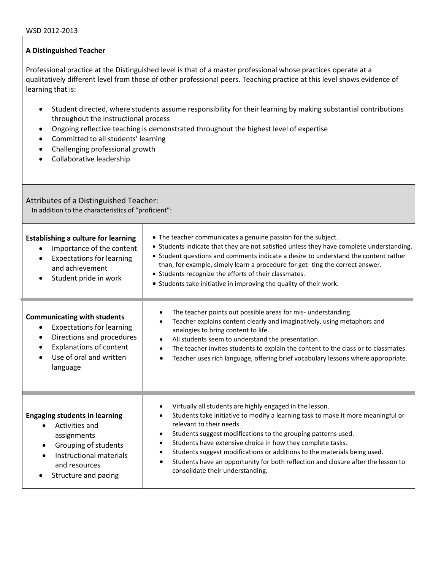Professional practice at the Distinguished level is that of a master professional whose practices operate at a qualitatively different level from those of other professional peers. Teaching practice at this level shows evidence of learning that is:

- Student directed, where students assume responsibility for their learning by making substantial contributions throughout the instructional process
- Ongoing reflective teaching is demonstrated throughout the highest level of expertise
- Committed to all students' learning
- Challenging professional growth
- Collaborative leadership

Attributes of a Distinguished Teacher: In addition to the characteristics of "proficient":

| <b>Establishing a culture for learning</b><br>Importance of the content<br><b>Expectations for learning</b><br>and achievement<br>Student pride in work                                   | • The teacher communicates a genuine passion for the subject.<br>• Students indicate that they are not satisfied unless they have complete understanding.<br>• Student questions and comments indicate a desire to understand the content rather<br>than, for example, simply learn a procedure for get-ting the correct answer.<br>• Students recognize the efforts of their classmates.<br>• Students take initiative in improving the quality of their work.                                                                                                             |
|-------------------------------------------------------------------------------------------------------------------------------------------------------------------------------------------|-----------------------------------------------------------------------------------------------------------------------------------------------------------------------------------------------------------------------------------------------------------------------------------------------------------------------------------------------------------------------------------------------------------------------------------------------------------------------------------------------------------------------------------------------------------------------------|
| <b>Communicating with students</b><br><b>Expectations for learning</b><br>Directions and procedures<br>$\bullet$<br><b>Explanations of content</b><br>Use of oral and written<br>language | The teacher points out possible areas for mis- understanding.<br>$\bullet$<br>Teacher explains content clearly and imaginatively, using metaphors and<br>$\bullet$<br>analogies to bring content to life.<br>All students seem to understand the presentation.<br>$\bullet$<br>The teacher invites students to explain the content to the class or to classmates.<br>$\bullet$<br>Teacher uses rich language, offering brief vocabulary lessons where appropriate.<br>$\bullet$                                                                                             |
| <b>Engaging students in learning</b><br>Activities and<br>assignments<br>Grouping of students<br>$\bullet$<br>Instructional materials<br>and resources<br>Structure and pacing            | Virtually all students are highly engaged in the lesson.<br>$\bullet$<br>Students take initiative to modify a learning task to make it more meaningful or<br>relevant to their needs<br>Students suggest modifications to the grouping patterns used.<br>$\bullet$<br>Students have extensive choice in how they complete tasks.<br>$\bullet$<br>Students suggest modifications or additions to the materials being used.<br>$\bullet$<br>Students have an opportunity for both reflection and closure after the lesson to<br>$\bullet$<br>consolidate their understanding. |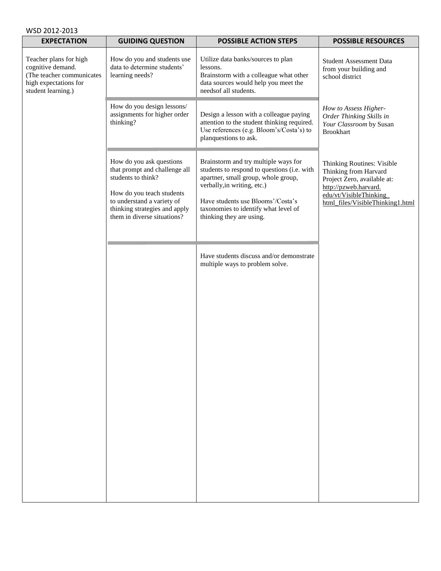| WSD 2012-2013                                                                                                           |                                                                                                                                                                                                            |                                                                                                                                                                                                                                                                    |                                                                                                                                                                           |
|-------------------------------------------------------------------------------------------------------------------------|------------------------------------------------------------------------------------------------------------------------------------------------------------------------------------------------------------|--------------------------------------------------------------------------------------------------------------------------------------------------------------------------------------------------------------------------------------------------------------------|---------------------------------------------------------------------------------------------------------------------------------------------------------------------------|
| <b>EXPECTATION</b>                                                                                                      | <b>GUIDING QUESTION</b>                                                                                                                                                                                    | <b>POSSIBLE ACTION STEPS</b>                                                                                                                                                                                                                                       | <b>POSSIBLE RESOURCES</b>                                                                                                                                                 |
| Teacher plans for high<br>cognitive demand.<br>(The teacher communicates<br>high expectations for<br>student learning.) | How do you and students use<br>data to determine students'<br>learning needs?                                                                                                                              | Utilize data banks/sources to plan<br>lessons.<br>Brainstorm with a colleague what other<br>data sources would help you meet the<br>needsof all students.                                                                                                          | <b>Student Assessment Data</b><br>from your building and<br>school district                                                                                               |
|                                                                                                                         | How do you design lessons/<br>assignments for higher order<br>thinking?                                                                                                                                    | Design a lesson with a colleague paying<br>attention to the student thinking required.<br>Use references (e.g. Bloom's/Costa's) to<br>planquestions to ask.                                                                                                        | How to Assess Higher-<br>Order Thinking Skills in<br>Your Classroom by Susan<br><b>Brookhart</b>                                                                          |
|                                                                                                                         | How do you ask questions<br>that prompt and challenge all<br>students to think?<br>How do you teach students<br>to understand a variety of<br>thinking strategies and apply<br>them in diverse situations? | Brainstorm and try multiple ways for<br>students to respond to questions (i.e. with<br>apartner, small group, whole group,<br>verbally, in writing, etc.)<br>Have students use Blooms'/Costa's<br>taxonomies to identify what level of<br>thinking they are using. | Thinking Routines: Visible<br>Thinking from Harvard<br>Project Zero, available at:<br>http://pzweb.harvard.<br>edu/vt/VisibleThinking<br>html_files/VisibleThinking1.html |
|                                                                                                                         |                                                                                                                                                                                                            | Have students discuss and/or demonstrate<br>multiple ways to problem solve.                                                                                                                                                                                        |                                                                                                                                                                           |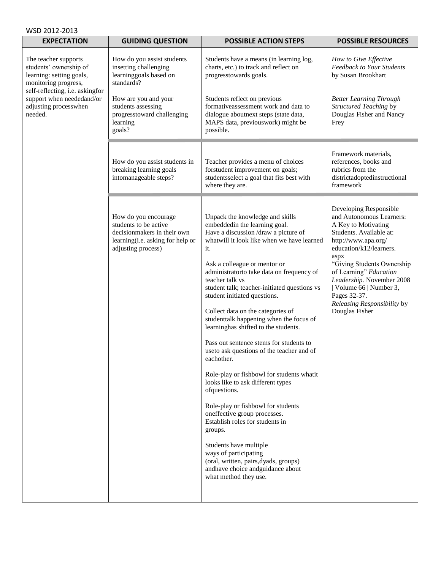| WSD 2012-2013                                                                                                                                                      |                                                                                                                                        |                                                                                                                                                                                                                                                                                                                                                                                                                                                                                                                                                                                                                                                                                                                                                                                                                                                                                                                                                             |                                                                                                                                                                                                                                                                                                                                                 |
|--------------------------------------------------------------------------------------------------------------------------------------------------------------------|----------------------------------------------------------------------------------------------------------------------------------------|-------------------------------------------------------------------------------------------------------------------------------------------------------------------------------------------------------------------------------------------------------------------------------------------------------------------------------------------------------------------------------------------------------------------------------------------------------------------------------------------------------------------------------------------------------------------------------------------------------------------------------------------------------------------------------------------------------------------------------------------------------------------------------------------------------------------------------------------------------------------------------------------------------------------------------------------------------------|-------------------------------------------------------------------------------------------------------------------------------------------------------------------------------------------------------------------------------------------------------------------------------------------------------------------------------------------------|
| <b>EXPECTATION</b>                                                                                                                                                 | <b>GUIDING QUESTION</b>                                                                                                                | <b>POSSIBLE ACTION STEPS</b>                                                                                                                                                                                                                                                                                                                                                                                                                                                                                                                                                                                                                                                                                                                                                                                                                                                                                                                                | <b>POSSIBLE RESOURCES</b>                                                                                                                                                                                                                                                                                                                       |
| The teacher supports<br>students' ownership of<br>learning: setting goals,<br>monitoring progress,<br>self-reflecting, i.e. askingfor<br>support when neededand/or | How do you assist students<br>insetting challenging<br>learninggoals based on<br>standards?<br>How are you and your                    | Students have a means (in learning log,<br>charts, etc.) to track and reflect on<br>progresstowards goals.<br>Students reflect on previous<br>formativeassessment work and data to                                                                                                                                                                                                                                                                                                                                                                                                                                                                                                                                                                                                                                                                                                                                                                          | How to Give Effective<br><b>Feedback to Your Students</b><br>by Susan Brookhart<br><b>Better Learning Through</b><br>Structured Teaching by                                                                                                                                                                                                     |
| adjusting processwhen<br>needed.                                                                                                                                   | students assessing<br>progresstoward challenging<br>learning<br>goals?                                                                 | dialogue aboutnext steps (state data,<br>MAPS data, previouswork) might be<br>possible.                                                                                                                                                                                                                                                                                                                                                                                                                                                                                                                                                                                                                                                                                                                                                                                                                                                                     | Douglas Fisher and Nancy<br>Frey                                                                                                                                                                                                                                                                                                                |
|                                                                                                                                                                    | How do you assist students in<br>breaking learning goals<br>intomanageable steps?                                                      | Teacher provides a menu of choices<br>forstudent improvement on goals;<br>studentsselect a goal that fits best with<br>where they are.                                                                                                                                                                                                                                                                                                                                                                                                                                                                                                                                                                                                                                                                                                                                                                                                                      | Framework materials,<br>references, books and<br>rubrics from the<br>districtadoptedinstructional<br>framework                                                                                                                                                                                                                                  |
|                                                                                                                                                                    | How do you encourage<br>students to be active<br>decisionmakers in their own<br>learning(i.e. asking for help or<br>adjusting process) | Unpack the knowledge and skills<br>embeddedin the learning goal.<br>Have a discussion /draw a picture of<br>what will it look like when we have learned<br>it.<br>Ask a colleague or mentor or<br>administratorto take data on frequency of<br>teacher talk vs<br>student talk; teacher-initiated questions vs<br>student initiated questions.<br>Collect data on the categories of<br>studenttalk happening when the focus of<br>learninghas shifted to the students.<br>Pass out sentence stems for students to<br>useto ask questions of the teacher and of<br>eachother.<br>Role-play or fishbowl for students whatit<br>looks like to ask different types<br>ofquestions.<br>Role-play or fishbowl for students<br>oneffective group processes.<br>Establish roles for students in<br>groups.<br>Students have multiple<br>ways of participating<br>(oral, written, pairs, dyads, groups)<br>andhave choice andguidance about<br>what method they use. | Developing Responsible<br>and Autonomous Learners:<br>A Key to Motivating<br>Students. Available at:<br>http://www.apa.org/<br>education/k12/learners.<br>aspx<br>"Giving Students Ownership<br>of Learning" Education<br>Leadership. November 2008<br>  Volume 66   Number 3,<br>Pages 32-37.<br>Releasing Responsibility by<br>Douglas Fisher |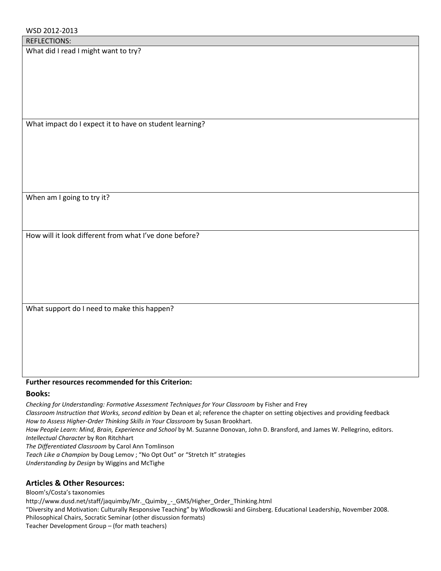What did I read I might want to try?

What impact do I expect it to have on student learning?

When am I going to try it?

How will it look different from what I've done before?

What support do I need to make this happen?

#### **Further resources recommended for this Criterion:**

#### **Books:**

*Checking for Understanding: Formative Assessment Techniques for Your Classroom* by Fisher and Frey *Classroom Instruction that Works, second edition* by Dean et al; reference the chapter on setting objectives and providing feedback *How to Assess Higher-Order Thinking Skills in Your Classroom* by Susan Brookhart. *How People Learn: Mind, Brain, Experience and School* by M. Suzanne Donovan, John D. Bransford, and James W. Pellegrino, editors. *Intellectual Character* by Ron Ritchhart *The Differentiated Classroom* by Carol Ann Tomlinson *Teach Like a Champion* by Doug Lemov ; "No Opt Out" or "Stretch It" strategies *Understanding by Design* by Wiggins and McTighe

# **Articles & Other Resources:**

Bloom's/Costa's taxonomies http://www.dusd.net/staff/jaquimby/Mr.\_Quimby\_-\_GMS/Higher\_Order\_Thinking.html "Diversity and Motivation: Culturally Responsive Teaching" by Wlodkowski and Ginsberg. Educational Leadership, November 2008. Philosophical Chairs, Socratic Seminar (other discussion formats) Teacher Development Group – (for math teachers)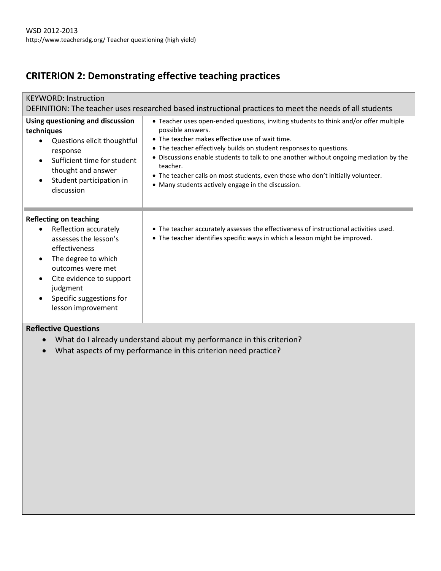# **CRITERION 2: Demonstrating effective teaching practices**

| <b>KEYWORD: Instruction</b><br>DEFINITION: The teacher uses researched based instructional practices to meet the needs of all students                                                                                                                   |                                                                                                                                                                                                                                                                                                                                                                                                                                                                                    |  |  |  |
|----------------------------------------------------------------------------------------------------------------------------------------------------------------------------------------------------------------------------------------------------------|------------------------------------------------------------------------------------------------------------------------------------------------------------------------------------------------------------------------------------------------------------------------------------------------------------------------------------------------------------------------------------------------------------------------------------------------------------------------------------|--|--|--|
| Using questioning and discussion<br>techniques<br>Questions elicit thoughtful<br>response<br>Sufficient time for student<br>$\bullet$<br>thought and answer<br>Student participation in<br>discussion                                                    | • Teacher uses open-ended questions, inviting students to think and/or offer multiple<br>possible answers.<br>• The teacher makes effective use of wait time.<br>• The teacher effectively builds on student responses to questions.<br>• Discussions enable students to talk to one another without ongoing mediation by the<br>teacher.<br>• The teacher calls on most students, even those who don't initially volunteer.<br>• Many students actively engage in the discussion. |  |  |  |
| <b>Reflecting on teaching</b><br>Reflection accurately<br>assesses the lesson's<br>effectiveness<br>The degree to which<br>$\bullet$<br>outcomes were met<br>Cite evidence to support<br>٠<br>judgment<br>Specific suggestions for<br>lesson improvement | • The teacher accurately assesses the effectiveness of instructional activities used.<br>• The teacher identifies specific ways in which a lesson might be improved.                                                                                                                                                                                                                                                                                                               |  |  |  |

- What do I already understand about my performance in this criterion?
- What aspects of my performance in this criterion need practice?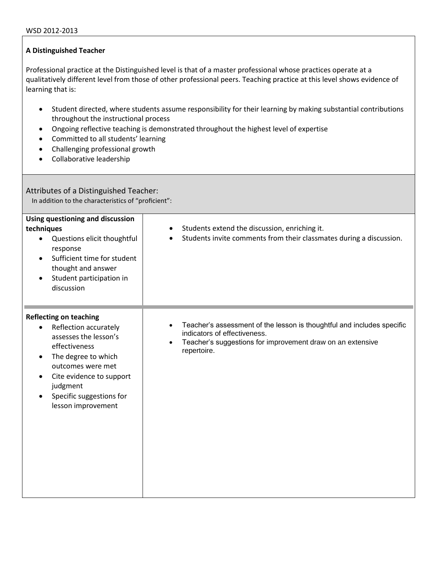Professional practice at the Distinguished level is that of a master professional whose practices operate at a qualitatively different level from those of other professional peers. Teaching practice at this level shows evidence of learning that is:

- Student directed, where students assume responsibility for their learning by making substantial contributions throughout the instructional process
- Ongoing reflective teaching is demonstrated throughout the highest level of expertise
- Committed to all students' learning
- Challenging professional growth
- Collaborative leadership

Attributes of a Distinguished Teacher: In addition to the characteristics of "proficient":

| Using questioning and discussion<br>techniques<br>Questions elicit thoughtful<br>$\bullet$<br>response<br>Sufficient time for student<br>$\bullet$<br>thought and answer<br>Student participation in<br>$\bullet$<br>discussion                                                    | Students extend the discussion, enriching it.<br>Students invite comments from their classmates during a discussion.                                                                             |
|------------------------------------------------------------------------------------------------------------------------------------------------------------------------------------------------------------------------------------------------------------------------------------|--------------------------------------------------------------------------------------------------------------------------------------------------------------------------------------------------|
| <b>Reflecting on teaching</b><br>Reflection accurately<br>$\bullet$<br>assesses the lesson's<br>effectiveness<br>The degree to which<br>$\bullet$<br>outcomes were met<br>Cite evidence to support<br>$\bullet$<br>judgment<br>Specific suggestions for<br>٠<br>lesson improvement | Teacher's assessment of the lesson is thoughtful and includes specific<br>indicators of effectiveness.<br>Teacher's suggestions for improvement draw on an extensive<br>$\bullet$<br>repertoire. |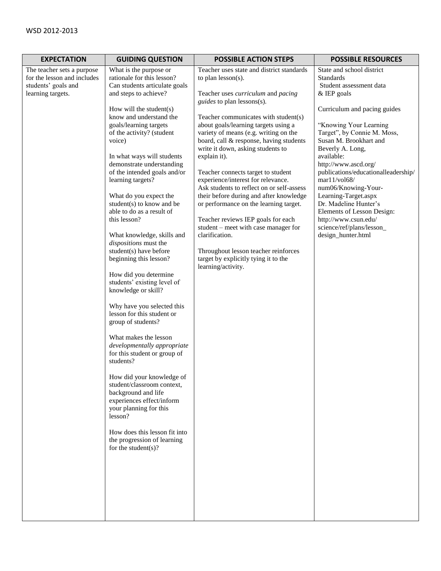| <b>EXPECTATION</b>                                                                                    | <b>GUIDING QUESTION</b>                                                                                                                                                                                                                                                                                                                                                                                                                                                                                                                                                                                                                                                                                                               | <b>POSSIBLE ACTION STEPS</b>                                                                                                                                                                                                                                                                                                                                                                                                                                                                                                                                                                                                                                                                                                                                                                      | <b>POSSIBLE RESOURCES</b>                                                                                                                                                                                                                                                                                                                                                                                                                                                                             |
|-------------------------------------------------------------------------------------------------------|---------------------------------------------------------------------------------------------------------------------------------------------------------------------------------------------------------------------------------------------------------------------------------------------------------------------------------------------------------------------------------------------------------------------------------------------------------------------------------------------------------------------------------------------------------------------------------------------------------------------------------------------------------------------------------------------------------------------------------------|---------------------------------------------------------------------------------------------------------------------------------------------------------------------------------------------------------------------------------------------------------------------------------------------------------------------------------------------------------------------------------------------------------------------------------------------------------------------------------------------------------------------------------------------------------------------------------------------------------------------------------------------------------------------------------------------------------------------------------------------------------------------------------------------------|-------------------------------------------------------------------------------------------------------------------------------------------------------------------------------------------------------------------------------------------------------------------------------------------------------------------------------------------------------------------------------------------------------------------------------------------------------------------------------------------------------|
| The teacher sets a purpose<br>for the lesson and includes<br>students' goals and<br>learning targets. | What is the purpose or<br>rationale for this lesson?<br>Can students articulate goals<br>and steps to achieve?<br>How will the student(s)<br>know and understand the<br>goals/learning targets<br>of the activity? (student<br>voice)<br>In what ways will students<br>demonstrate understanding<br>of the intended goals and/or<br>learning targets?<br>What do you expect the<br>student(s) to know and be<br>able to do as a result of<br>this lesson?<br>What knowledge, skills and<br>dispositions must the<br>student(s) have before<br>beginning this lesson?<br>How did you determine<br>students' existing level of<br>knowledge or skill?<br>Why have you selected this<br>lesson for this student or<br>group of students? | Teacher uses state and district standards<br>to plan $lesson(s)$ .<br>Teacher uses <i>curriculum</i> and <i>pacing</i><br>guides to plan lessons(s).<br>Teacher communicates with student(s)<br>about goals/learning targets using a<br>variety of means (e.g. writing on the<br>board, call & response, having students<br>write it down, asking students to<br>explain it).<br>Teacher connects target to student<br>experience/interest for relevance.<br>Ask students to reflect on or self-assess<br>their before during and after knowledge<br>or performance on the learning target.<br>Teacher reviews IEP goals for each<br>student – meet with case manager for<br>clarification.<br>Throughout lesson teacher reinforces<br>target by explicitly tying it to the<br>learning/activity. | State and school district<br>Standards<br>Student assessment data<br>& IEP goals<br>Curriculum and pacing guides<br>"Knowing Your Learning<br>Target", by Connie M. Moss,<br>Susan M. Brookhart and<br>Beverly A. Long,<br>available:<br>http://www.ascd.org/<br>publications/educationalleadership/<br>mar11/vol68/<br>num06/Knowing-Your-<br>Learning-Target.aspx<br>Dr. Madeline Hunter's<br>Elements of Lesson Design:<br>http://www.csun.edu/<br>science/ref/plans/lesson_<br>design_hunter.html |
|                                                                                                       | What makes the lesson<br>developmentally appropriate<br>for this student or group of<br>students?<br>How did your knowledge of<br>student/classroom context,<br>background and life<br>experiences effect/inform<br>your planning for this<br>lesson?<br>How does this lesson fit into<br>the progression of learning<br>for the student $(s)$ ?                                                                                                                                                                                                                                                                                                                                                                                      |                                                                                                                                                                                                                                                                                                                                                                                                                                                                                                                                                                                                                                                                                                                                                                                                   |                                                                                                                                                                                                                                                                                                                                                                                                                                                                                                       |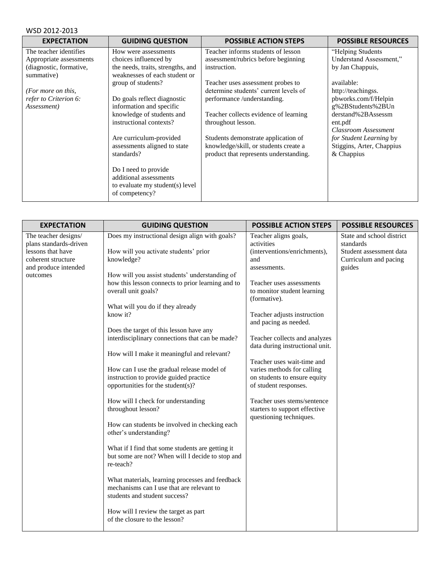| <b>EXPECTATION</b>                    | <b>GUIDING QUESTION</b>                                            | <b>POSSIBLE ACTION STEPS</b>           | <b>POSSIBLE RESOURCES</b> |
|---------------------------------------|--------------------------------------------------------------------|----------------------------------------|---------------------------|
| The teacher identifies                | How were assessments                                               | Teacher informs students of lesson     | "Helping Students         |
| Appropriate assessments               | choices influenced by                                              | assessment/rubrics before beginning    | Understand Assessment,"   |
| (diagnostic, formative,<br>summative) | the needs, traits, strengths, and<br>weaknesses of each student or | instruction.                           | by Jan Chappuis,          |
|                                       | group of students?                                                 | Teacher uses assessment probes to      | available:                |
| (For more on this,                    |                                                                    | determine students' current levels of  | http://teachingss.        |
| refer to Criterion 6:                 | Do goals reflect diagnostic                                        | performance /understanding.            | pbworks.com/f/Helpin      |
| Assessment)                           | information and specific                                           |                                        | g%2BStudents%2BUn         |
|                                       | knowledge of students and                                          | Teacher collects evidence of learning  | derstand%2BAssessm        |
|                                       | instructional contexts?                                            | throughout lesson.                     | ent.pdf                   |
|                                       |                                                                    |                                        | Classroom Assessment      |
|                                       | Are curriculum-provided                                            | Students demonstrate application of    | for Student Learning by   |
|                                       | assessments aligned to state                                       | knowledge/skill, or students create a  | Stiggins, Arter, Chappius |
|                                       | standards?                                                         | product that represents understanding. | & Chappius                |
|                                       |                                                                    |                                        |                           |
|                                       | Do I need to provide<br>additional assessments                     |                                        |                           |
|                                       | to evaluate my student(s) level                                    |                                        |                           |
|                                       | of competency?                                                     |                                        |                           |
|                                       |                                                                    |                                        |                           |

| <b>EXPECTATION</b><br><b>GUIDING QUESTION</b>                                                                                                                                                                                                                                                                                                                                                                                                                                                                                                                                                                                                                                                                                                                                                                                                                                                                                                                                                                                                                                                                                                                        | <b>POSSIBLE ACTION STEPS</b>                                                                                                                                                                                                                                                                                                                                                                                                                                                                                      | <b>POSSIBLE RESOURCES</b>                                                                            |
|----------------------------------------------------------------------------------------------------------------------------------------------------------------------------------------------------------------------------------------------------------------------------------------------------------------------------------------------------------------------------------------------------------------------------------------------------------------------------------------------------------------------------------------------------------------------------------------------------------------------------------------------------------------------------------------------------------------------------------------------------------------------------------------------------------------------------------------------------------------------------------------------------------------------------------------------------------------------------------------------------------------------------------------------------------------------------------------------------------------------------------------------------------------------|-------------------------------------------------------------------------------------------------------------------------------------------------------------------------------------------------------------------------------------------------------------------------------------------------------------------------------------------------------------------------------------------------------------------------------------------------------------------------------------------------------------------|------------------------------------------------------------------------------------------------------|
| Does my instructional design align with goals?<br>The teacher designs/<br>plans standards-driven<br>lessons that have<br>How will you activate students' prior<br>coherent structure<br>knowledge?<br>and produce intended<br>How will you assist students' understanding of<br>outcomes<br>how this lesson connects to prior learning and to<br>overall unit goals?<br>What will you do if they already<br>know it?<br>Does the target of this lesson have any<br>interdisciplinary connections that can be made?<br>How will I make it meaningful and relevant?<br>How can I use the gradual release model of<br>instruction to provide guided practice<br>opportunities for the student(s)?<br>How will I check for understanding<br>throughout lesson?<br>How can students be involved in checking each<br>other's understanding?<br>What if I find that some students are getting it<br>but some are not? When will I decide to stop and<br>re-teach?<br>What materials, learning processes and feedback<br>mechanisms can I use that are relevant to<br>students and student success?<br>How will I review the target as part<br>of the closure to the lesson? | Teacher aligns goals,<br>activities<br>(interventions/enrichments),<br>and<br>assessments.<br>Teacher uses assessments<br>to monitor student learning<br>(formative).<br>Teacher adjusts instruction<br>and pacing as needed.<br>Teacher collects and analyzes<br>data during instructional unit.<br>Teacher uses wait-time and<br>varies methods for calling<br>on students to ensure equity<br>of student responses.<br>Teacher uses stems/sentence<br>starters to support effective<br>questioning techniques. | State and school district<br>standards<br>Student assessment data<br>Curriculum and pacing<br>guides |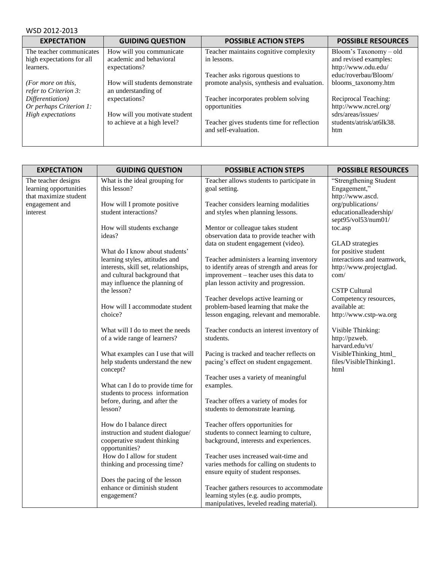| WSD 2012-2013 |  |  |  |
|---------------|--|--|--|
|---------------|--|--|--|

| <b>EXPECTATION</b>                          | <b>GUIDING QUESTION</b>                              | <b>POSSIBLE ACTION STEPS</b>                                       | <b>POSSIBLE RESOURCES</b>       |
|---------------------------------------------|------------------------------------------------------|--------------------------------------------------------------------|---------------------------------|
| The teacher communicates                    | How will you communicate                             | Teacher maintains cognitive complexity                             | Bloom's Taxonomy-old            |
| high expectations for all                   | academic and behavioral                              | in lessons.                                                        | and revised examples:           |
| learners.                                   | expectations?                                        |                                                                    | http://www.odu.edu/             |
|                                             |                                                      | Teacher asks rigorous questions to                                 | educ/roverbau/Bloom/            |
| (For more on this,<br>refer to Criterion 3: | How will students demonstrate<br>an understanding of | promote analysis, synthesis and evaluation.                        | blooms_taxonomy.htm             |
| Differentiation)                            | expectations?                                        | Teacher incorporates problem solving                               | Reciprocal Teaching:            |
| Or perhaps Criterion 1:                     |                                                      | opportunities                                                      | http://www.ncrel.org/           |
| High expectations                           | How will you motivate student                        |                                                                    | sdrs/areas/issues/              |
|                                             | to achieve at a high level?                          | Teacher gives students time for reflection<br>and self-evaluation. | students/atrisk/at6lk38.<br>htm |

| <b>EXPECTATION</b>                                                     | <b>GUIDING QUESTION</b>                                                                               | <b>POSSIBLE ACTION STEPS</b>                                                                                                    | <b>POSSIBLE RESOURCES</b>                                          |
|------------------------------------------------------------------------|-------------------------------------------------------------------------------------------------------|---------------------------------------------------------------------------------------------------------------------------------|--------------------------------------------------------------------|
| The teacher designs<br>learning opportunities<br>that maximize student | What is the ideal grouping for<br>this lesson?                                                        | Teacher allows students to participate in<br>goal setting.                                                                      | "Strengthening Student<br>Engagement,"<br>http://www.ascd.         |
| engagement and<br>interest                                             | How will I promote positive<br>student interactions?                                                  | Teacher considers learning modalities<br>and styles when planning lessons.                                                      | org/publications/<br>educationalleadership/<br>sept95/vol53/num01/ |
|                                                                        | How will students exchange<br>ideas?                                                                  | Mentor or colleague takes student<br>observation data to provide teacher with<br>data on student engagement (video).            | toc.asp<br><b>GLAD</b> strategies                                  |
|                                                                        | What do I know about students'<br>learning styles, attitudes and                                      | Teacher administers a learning inventory                                                                                        | for positive student<br>interactions and teamwork,                 |
|                                                                        | interests, skill set, relationships,<br>and cultural background that<br>may influence the planning of | to identify areas of strength and areas for<br>improvement - teacher uses this data to<br>plan lesson activity and progression. | http://www.projectglad.<br>com/                                    |
|                                                                        | the lesson?                                                                                           | Teacher develops active learning or                                                                                             | <b>CSTP Cultural</b><br>Competency resources,                      |
|                                                                        | How will I accommodate student<br>choice?                                                             | problem-based learning that make the<br>lesson engaging, relevant and memorable.                                                | available at:<br>http://www.cstp-wa.org                            |
|                                                                        | What will I do to meet the needs<br>of a wide range of learners?                                      | Teacher conducts an interest inventory of<br>students.                                                                          | Visible Thinking:<br>http://pzweb.<br>harvard.edu/vt/              |
|                                                                        | What examples can I use that will<br>help students understand the new<br>concept?                     | Pacing is tracked and teacher reflects on<br>pacing's effect on student engagement.                                             | VisibleThinking_html_<br>files/VisibleThinking1.<br>html           |
|                                                                        | What can I do to provide time for<br>students to process information                                  | Teacher uses a variety of meaningful<br>examples.                                                                               |                                                                    |
|                                                                        | before, during, and after the<br>lesson?                                                              | Teacher offers a variety of modes for<br>students to demonstrate learning.                                                      |                                                                    |
|                                                                        | How do I balance direct<br>instruction and student dialogue/                                          | Teacher offers opportunities for<br>students to connect learning to culture,                                                    |                                                                    |
|                                                                        | cooperative student thinking<br>opportunities?                                                        | background, interests and experiences.                                                                                          |                                                                    |
|                                                                        | How do I allow for student<br>thinking and processing time?                                           | Teacher uses increased wait-time and<br>varies methods for calling on students to<br>ensure equity of student responses.        |                                                                    |
|                                                                        | Does the pacing of the lesson<br>enhance or diminish student                                          | Teacher gathers resources to accommodate                                                                                        |                                                                    |
|                                                                        | engagement?                                                                                           | learning styles (e.g. audio prompts,<br>manipulatives, leveled reading material).                                               |                                                                    |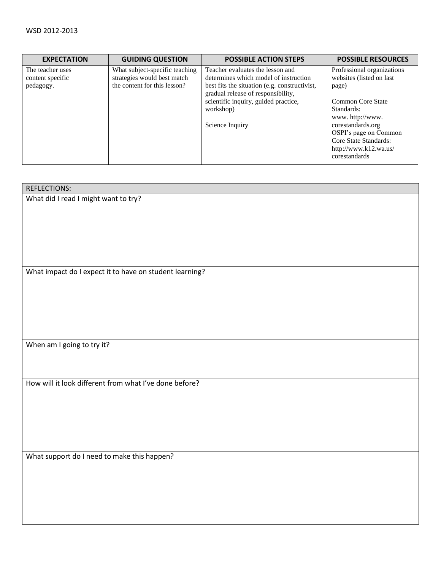| <b>EXPECTATION</b>                   | <b>GUIDING QUESTION</b>                                       | <b>POSSIBLE ACTION STEPS</b>                                                        | <b>POSSIBLE RESOURCES</b>                              |
|--------------------------------------|---------------------------------------------------------------|-------------------------------------------------------------------------------------|--------------------------------------------------------|
| The teacher uses<br>content specific | What subject-specific teaching<br>strategies would best match | Teacher evaluates the lesson and<br>determines which model of instruction           | Professional organizations<br>websites (listed on last |
| pedagogy.                            | the content for this lesson?                                  | best fits the situation (e.g. constructivist,<br>gradual release of responsibility, | page)                                                  |
|                                      |                                                               | scientific inquiry, guided practice,                                                | Common Core State                                      |
|                                      |                                                               | workshop)                                                                           | Standards:                                             |
|                                      |                                                               |                                                                                     | www.http://www.                                        |
|                                      |                                                               | Science Inquiry                                                                     | corestandards.org                                      |
|                                      |                                                               |                                                                                     | OSPI's page on Common                                  |
|                                      |                                                               |                                                                                     | Core State Standards:                                  |
|                                      |                                                               |                                                                                     | http://www.k12.wa.us/                                  |
|                                      |                                                               |                                                                                     | corestandards                                          |

| <b>REFLECTIONS:</b>                                     |
|---------------------------------------------------------|
| What did I read I might want to try?                    |
|                                                         |
|                                                         |
|                                                         |
|                                                         |
|                                                         |
|                                                         |
| What impact do I expect it to have on student learning? |
|                                                         |
|                                                         |
|                                                         |
|                                                         |
|                                                         |
| When am I going to try it?                              |
|                                                         |
|                                                         |
|                                                         |
| How will it look different from what I've done before?  |
|                                                         |
|                                                         |
|                                                         |
|                                                         |
|                                                         |
| What support do I need to make this happen?             |
|                                                         |
|                                                         |
|                                                         |
|                                                         |
|                                                         |
|                                                         |
|                                                         |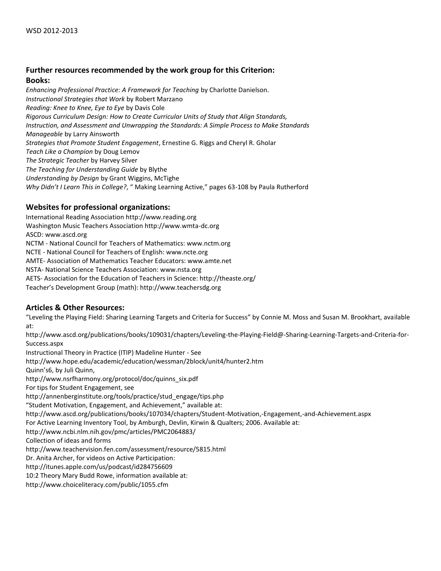# **Further resources recommended by the work group for this Criterion:**

#### **Books:**

*Enhancing Professional Practice: A Framework for Teaching* by Charlotte Danielson. *Instructional Strategies that Work* by Robert Marzano *Reading: Knee to Knee, Eye to Eye* by Davis Cole *Rigorous Curriculum Design: How to Create Curricular Units of Study that Align Standards, Instruction, and Assessment and Unwrapping the Standards: A Simple Process to Make Standards Manageable* by Larry Ainsworth *Strategies that Promote Student Engagement*, Ernestine G. Riggs and Cheryl R. Gholar *Teach Like a Champion* by Doug Lemov *The Strategic Teacher* by Harvey Silver *The Teaching for Understanding Guide* by Blythe *Understanding by Design* by Grant Wiggins, McTighe *Why Didn't I Learn This in College?*, " Making Learning Active," pages 63-108 by Paula Rutherford

# **Websites for professional organizations:**

International Reading Association http://www.reading.org Washington Music Teachers Association http://www.wmta-dc.org ASCD: www.ascd.org NCTM - National Council for Teachers of Mathematics: www.nctm.org NCTE - National Council for Teachers of English: www.ncte.org AMTE- Association of Mathematics Teacher Educators: www.amte.net NSTA- National Science Teachers Association: www.nsta.org AETS- Association for the Education of Teachers in Science: http://theaste.org/ Teacher's Development Group (math): http://www.teachersdg.org

# **Articles & Other Resources:**

"Leveling the Playing Field: Sharing Learning Targets and Criteria for Success" by Connie M. Moss and Susan M. Brookhart, available at:

http://www.ascd.org/publications/books/109031/chapters/Leveling-the-Playing-Field@-Sharing-Learning-Targets-and-Criteria-for-Success.aspx

Instructional Theory in Practice (ITIP) Madeline Hunter - See http://www.hope.edu/academic/education/wessman/2block/unit4/hunter2.htm Quinn's6, by Juli Quinn, http://www.nsrfharmony.org/protocol/doc/quinns\_six.pdf For tips for Student Engagement, see http://annenberginstitute.org/tools/practice/stud\_engage/tips.php "Student Motivation, Engagement, and Achievement," available at: http://www.ascd.org/publications/books/107034/chapters/Student-Motivation,-Engagement,-and-Achievement.aspx For Active Learning Inventory Tool, by Amburgh, Devlin, Kirwin & Qualters; 2006. Available at: http://www.ncbi.nlm.nih.gov/pmc/articles/PMC2064883/ Collection of ideas and forms http://www.teachervision.fen.com/assessment/resource/5815.html Dr. Anita Archer, for videos on Active Participation: http://itunes.apple.com/us/podcast/id284756609 10:2 Theory Mary Budd Rowe, information available at: http://www.choiceliteracy.com/public/1055.cfm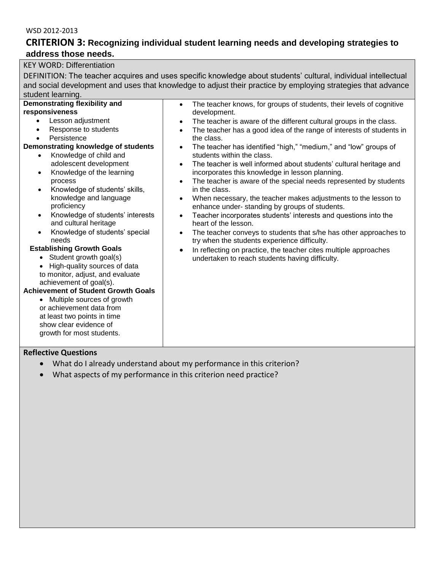# **CRITERION 3: Recognizing individual student learning needs and developing strategies to address those needs.**

| <b>KEY WORD: Differentiation</b>                                                                                |                                                                                                              |  |  |  |
|-----------------------------------------------------------------------------------------------------------------|--------------------------------------------------------------------------------------------------------------|--|--|--|
| DEFINITION: The teacher acquires and uses specific knowledge about students' cultural, individual intellectual  |                                                                                                              |  |  |  |
|                                                                                                                 | and social development and uses that knowledge to adjust their practice by employing strategies that advance |  |  |  |
| student learning.                                                                                               |                                                                                                              |  |  |  |
| Demonstrating flexibility and                                                                                   | The teacher knows, for groups of students, their levels of cognitive<br>$\bullet$                            |  |  |  |
| responsiveness                                                                                                  | development.                                                                                                 |  |  |  |
| Lesson adjustment                                                                                               | The teacher is aware of the different cultural groups in the class.<br>$\bullet$                             |  |  |  |
| Response to students                                                                                            | The teacher has a good idea of the range of interests of students in<br>$\bullet$                            |  |  |  |
| Persistence                                                                                                     | the class.                                                                                                   |  |  |  |
| Demonstrating knowledge of students                                                                             | The teacher has identified "high," "medium," and "low" groups of<br>$\bullet$                                |  |  |  |
| Knowledge of child and<br>$\bullet$                                                                             | students within the class.                                                                                   |  |  |  |
| adolescent development                                                                                          | The teacher is well informed about students' cultural heritage and<br>$\bullet$                              |  |  |  |
| Knowledge of the learning<br>$\bullet$                                                                          | incorporates this knowledge in lesson planning.                                                              |  |  |  |
| process                                                                                                         | The teacher is aware of the special needs represented by students<br>$\bullet$<br>in the class.              |  |  |  |
| Knowledge of students' skills,<br>$\bullet$<br>knowledge and language                                           | When necessary, the teacher makes adjustments to the lesson to                                               |  |  |  |
| proficiency                                                                                                     | ٠<br>enhance under- standing by groups of students.                                                          |  |  |  |
| Knowledge of students' interests<br>$\bullet$                                                                   | Teacher incorporates students' interests and questions into the<br>$\bullet$                                 |  |  |  |
| and cultural heritage                                                                                           | heart of the lesson.                                                                                         |  |  |  |
| Knowledge of students' special<br>$\bullet$                                                                     | The teacher conveys to students that s/he has other approaches to<br>$\bullet$                               |  |  |  |
| needs                                                                                                           | try when the students experience difficulty.                                                                 |  |  |  |
| <b>Establishing Growth Goals</b>                                                                                | In reflecting on practice, the teacher cites multiple approaches<br>$\bullet$                                |  |  |  |
| • Student growth goal(s)                                                                                        | undertaken to reach students having difficulty.                                                              |  |  |  |
| High-quality sources of data                                                                                    |                                                                                                              |  |  |  |
| to monitor, adjust, and evaluate                                                                                |                                                                                                              |  |  |  |
| achievement of goal(s).<br><b>Achievement of Student Growth Goals</b>                                           |                                                                                                              |  |  |  |
| Multiple sources of growth<br>$\bullet$                                                                         |                                                                                                              |  |  |  |
| or achievement data from                                                                                        |                                                                                                              |  |  |  |
| at least two points in time                                                                                     |                                                                                                              |  |  |  |
| show clear evidence of                                                                                          |                                                                                                              |  |  |  |
| growth for most students.                                                                                       |                                                                                                              |  |  |  |
|                                                                                                                 |                                                                                                              |  |  |  |
| <b>Reflective Questions</b>                                                                                     |                                                                                                              |  |  |  |
| . A Additional and a contract of the state of the contract of the first contract of the first contract of the s | and the substance of the of                                                                                  |  |  |  |

- What do I already understand about my performance in this criterion?
- What aspects of my performance in this criterion need practice?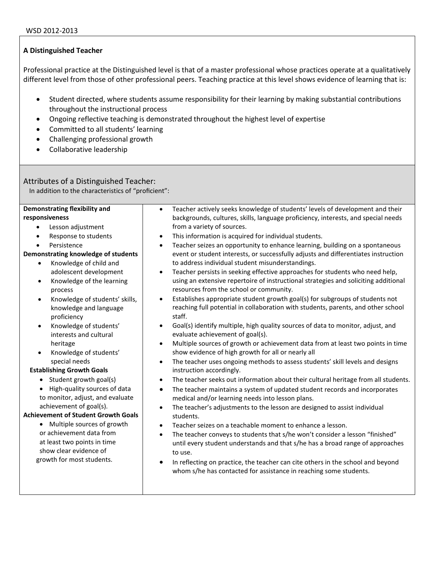Professional practice at the Distinguished level is that of a master professional whose practices operate at a qualitatively different level from those of other professional peers. Teaching practice at this level shows evidence of learning that is:

- Student directed, where students assume responsibility for their learning by making substantial contributions throughout the instructional process
- Ongoing reflective teaching is demonstrated throughout the highest level of expertise
- Committed to all students' learning
- Challenging professional growth
- Collaborative leadership

# Attributes of a Distinguished Teacher:

In addition to the characteristics of "proficient":

#### **Demonstrating flexibility and responsiveness**

- Lesson adjustment
- Response to students
- Persistence

## **Demonstrating knowledge of students**

- Knowledge of child and adolescent development
- Knowledge of the learning process
- Knowledge of students' skills, knowledge and language proficiency
- Knowledge of students' interests and cultural heritage
- Knowledge of students' special needs

#### **Establishing Growth Goals**

- $\bullet$  Student growth goal(s)
- High-quality sources of data to monitor, adjust, and evaluate achievement of goal(s).

## **Achievement of Student Growth Goals**

• Multiple sources of growth or achievement data from at least two points in time show clear evidence of growth for most students.

- Teacher actively seeks knowledge of students' levels of development and their backgrounds, cultures, skills, language proficiency, interests, and special needs from a variety of sources.
- This information is acquired for individual students.
- Teacher seizes an opportunity to enhance learning, building on a spontaneous event or student interests, or successfully adjusts and differentiates instruction to address individual student misunderstandings.
- Teacher persists in seeking effective approaches for students who need help, using an extensive repertoire of instructional strategies and soliciting additional resources from the school or community.
- Establishes appropriate student growth goal(s) for subgroups of students not reaching full potential in collaboration with students, parents, and other school staff.
- Goal(s) identify multiple, high quality sources of data to monitor, adjust, and evaluate achievement of goal(s).
- Multiple sources of growth or achievement data from at least two points in time show evidence of high growth for all or nearly all
- The teacher uses ongoing methods to assess students' skill levels and designs instruction accordingly.
- The teacher seeks out information about their cultural heritage from all students.
- The teacher maintains a system of updated student records and incorporates medical and/or learning needs into lesson plans.
- The teacher's adjustments to the lesson are designed to assist individual students.
- Teacher seizes on a teachable moment to enhance a lesson.
- The teacher conveys to students that s/he won't consider a lesson "finished" until every student understands and that s/he has a broad range of approaches to use.
- In reflecting on practice, the teacher can cite others in the school and beyond whom s/he has contacted for assistance in reaching some students.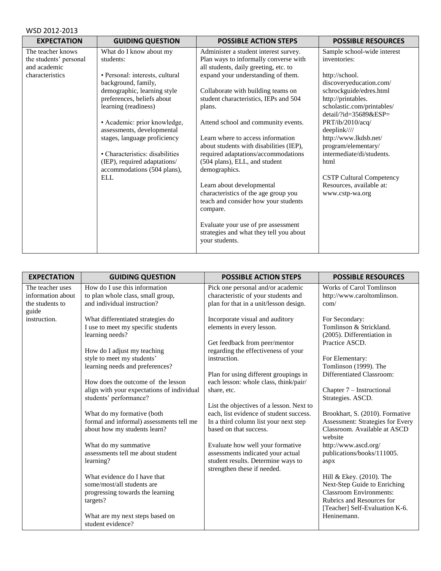| <b>EXPECTATION</b>     | <b>GUIDING QUESTION</b>         | <b>POSSIBLE ACTION STEPS</b>            | <b>POSSIBLE RESOURCES</b>       |
|------------------------|---------------------------------|-----------------------------------------|---------------------------------|
| The teacher knows      | What do I know about my         | Administer a student interest survey.   | Sample school-wide interest     |
| the students' personal | students:                       | Plan ways to informally converse with   | inventories:                    |
| and academic           |                                 | all students, daily greeting, etc. to   |                                 |
| characteristics        | · Personal: interests, cultural | expand your understanding of them.      | http://school.                  |
|                        | background, family,             |                                         | discoveryeducation.com/         |
|                        | demographic, learning style     | Collaborate with building teams on      | schrockguide/edres.html         |
|                        | preferences, beliefs about      | student characteristics, IEPs and 504   | http://printables.              |
|                        | learning (readiness)            | plans.                                  | scholastic.com/printables/      |
|                        |                                 |                                         | detail/?id=35689&ESP=           |
|                        | • Academic: prior knowledge,    | Attend school and community events.     | PRT/ib/2010/acq/                |
|                        | assessments, developmental      |                                         | deeplink////                    |
|                        | stages, language proficiency    | Learn where to access information       | http://www.lkdsb.net/           |
|                        |                                 | about students with disabilities (IEP), | program/elementary/             |
|                        | • Characteristics: disabilities | required adaptations/accommodations     | intermediate/di/students.       |
|                        | (IEP), required adaptations/    | (504 plans), ELL, and student           | html                            |
|                        | accommodations (504 plans),     | demographics.                           |                                 |
|                        | ELL                             |                                         | <b>CSTP Cultural Competency</b> |
|                        |                                 | Learn about developmental               | Resources, available at:        |
|                        |                                 | characteristics of the age group you    | www.cstp-wa.org                 |
|                        |                                 | teach and consider how your students    |                                 |
|                        |                                 | compare.                                |                                 |
|                        |                                 |                                         |                                 |
|                        |                                 | Evaluate your use of pre assessment     |                                 |
|                        |                                 | strategies and what they tell you about |                                 |
|                        |                                 | your students.                          |                                 |
|                        |                                 |                                         |                                 |

| <b>EXPECTATION</b>       | <b>GUIDING QUESTION</b>                                              | <b>POSSIBLE ACTION STEPS</b>                                      | <b>POSSIBLE RESOURCES</b>                             |
|--------------------------|----------------------------------------------------------------------|-------------------------------------------------------------------|-------------------------------------------------------|
| The teacher uses         | How do I use this information                                        | Pick one personal and/or academic                                 | <b>Works of Carol Tomlinson</b>                       |
| information about        | to plan whole class, small group,                                    | characteristic of your students and                               | http://www.caroltomlinson.                            |
| the students to<br>guide | and individual instruction?                                          | plan for that in a unit/lesson design.                            | com/                                                  |
| instruction.             | What differentiated strategies do                                    | Incorporate visual and auditory                                   | For Secondary:                                        |
|                          | I use to meet my specific students<br>learning needs?                | elements in every lesson.                                         | Tomlinson & Strickland.<br>(2005). Differentiation in |
|                          |                                                                      | Get feedback from peer/mentor                                     | Practice ASCD.                                        |
|                          | How do I adjust my teaching                                          | regarding the effectiveness of your                               |                                                       |
|                          | style to meet my students'<br>learning needs and preferences?        | instruction.                                                      | For Elementary:<br>Tomlinson (1999). The              |
|                          |                                                                      | Plan for using different groupings in                             | Differentiated Classroom:                             |
|                          | How does the outcome of the lesson                                   | each lesson: whole class, think/pair/                             |                                                       |
|                          | align with your expectations of individual<br>students' performance? | share, etc.                                                       | Chapter 7 – Instructional<br>Strategies. ASCD.        |
|                          |                                                                      | List the objectives of a lesson. Next to                          |                                                       |
|                          | What do my formative (both                                           | each, list evidence of student success.                           | Brookhart, S. (2010). Formative                       |
|                          | formal and informal) assessments tell me                             | In a third column list your next step                             | <b>Assessment: Strategies for Every</b>               |
|                          | about how my students learn?                                         | based on that success.                                            | Classroom. Available at ASCD<br>website               |
|                          | What do my summative                                                 | Evaluate how well your formative                                  | http://www.ascd.org/                                  |
|                          | assessments tell me about student                                    | assessments indicated your actual                                 | publications/books/111005.                            |
|                          | learning?                                                            | student results. Determine ways to<br>strengthen these if needed. | aspx                                                  |
|                          | What evidence do I have that                                         |                                                                   | Hill & Ekey. (2010). The                              |
|                          | some/most/all students are                                           |                                                                   | Next-Step Guide to Enriching                          |
|                          | progressing towards the learning                                     |                                                                   | <b>Classroom Environments:</b>                        |
|                          | targets?                                                             |                                                                   | Rubrics and Resources for                             |
|                          |                                                                      |                                                                   | [Teacher] Self-Evaluation K-6.                        |
|                          | What are my next steps based on                                      |                                                                   | Heninemann.                                           |
|                          | student evidence?                                                    |                                                                   |                                                       |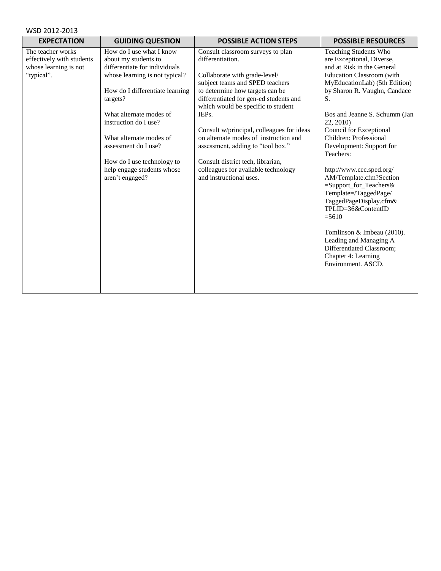| WSD 2012-2013 |  |  |
|---------------|--|--|
|---------------|--|--|

| <b>EXPECTATION</b>                                                                    | <b>GUIDING QUESTION</b>                                                                                                                                                                                                                                                                                                                                  | <b>POSSIBLE ACTION STEPS</b>                                                                                                                                                                                                                                                                                                                                                                                                                                                            | <b>POSSIBLE RESOURCES</b>                                                                                                                                                                                                                                                                                                                                                                                                                                                                                                                                                                                                                              |
|---------------------------------------------------------------------------------------|----------------------------------------------------------------------------------------------------------------------------------------------------------------------------------------------------------------------------------------------------------------------------------------------------------------------------------------------------------|-----------------------------------------------------------------------------------------------------------------------------------------------------------------------------------------------------------------------------------------------------------------------------------------------------------------------------------------------------------------------------------------------------------------------------------------------------------------------------------------|--------------------------------------------------------------------------------------------------------------------------------------------------------------------------------------------------------------------------------------------------------------------------------------------------------------------------------------------------------------------------------------------------------------------------------------------------------------------------------------------------------------------------------------------------------------------------------------------------------------------------------------------------------|
| The teacher works<br>effectively with students<br>whose learning is not<br>"typical". | How do I use what I know<br>about my students to<br>differentiate for individuals<br>whose learning is not typical?<br>How do I differentiate learning<br>targets?<br>What alternate modes of<br>instruction do I use?<br>What alternate modes of<br>assessment do I use?<br>How do I use technology to<br>help engage students whose<br>aren't engaged? | Consult classroom surveys to plan<br>differentiation.<br>Collaborate with grade-level/<br>subject teams and SPED teachers<br>to determine how targets can be<br>differentiated for gen-ed students and<br>which would be specific to student<br>IEPs.<br>Consult w/principal, colleagues for ideas<br>on alternate modes of instruction and<br>assessment, adding to "tool box."<br>Consult district tech, librarian,<br>colleagues for available technology<br>and instructional uses. | <b>Teaching Students Who</b><br>are Exceptional, Diverse,<br>and at Risk in the General<br><b>Education Classroom</b> (with<br>MyEducationLab) (5th Edition)<br>by Sharon R. Vaughn, Candace<br>S.<br>Bos and Jeanne S. Schumm (Jan<br>22, 2010)<br>Council for Exceptional<br>Children: Professional<br>Development: Support for<br>Teachers:<br>http://www.cec.sped.org/<br>AM/Template.cfm?Section<br>=Support_for_Teachers&<br>Template=/TaggedPage/<br>TaggedPageDisplay.cfm&<br>TPLID=36&ContentID<br>$= 5610$<br>Tomlinson & Imbeau (2010).<br>Leading and Managing A<br>Differentiated Classroom;<br>Chapter 4: Learning<br>Environment. ASCD. |
|                                                                                       |                                                                                                                                                                                                                                                                                                                                                          |                                                                                                                                                                                                                                                                                                                                                                                                                                                                                         |                                                                                                                                                                                                                                                                                                                                                                                                                                                                                                                                                                                                                                                        |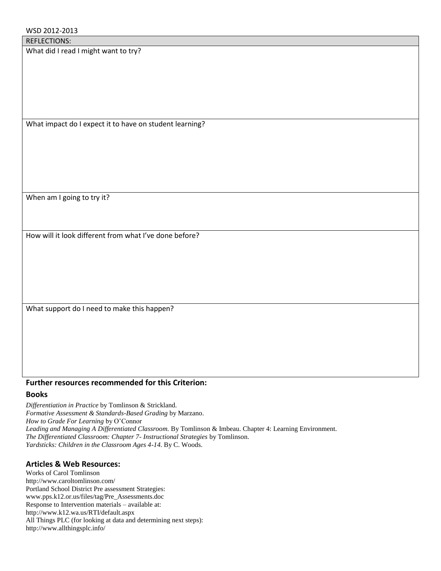What did I read I might want to try?

What impact do I expect it to have on student learning?

When am I going to try it?

How will it look different from what I've done before?

What support do I need to make this happen?

## **Further resources recommended for this Criterion:**

## **Books**

*Differentiation in Practice* by Tomlinson & Strickland. *Formative Assessment & Standards-Based Grading* by Marzano. *How to Grade For Learning* by O'Connor *Leading and Managing A Differentiated Classroom.* By Tomlinson & Imbeau. Chapter 4: Learning Environment. *The Differentiated Classroom: Chapter 7- Instructional Strategies* by Tomlinson. *Yardsticks: Children in the Classroom Ages 4-14*. By C. Woods.

# **Articles & Web Resources:**

Works of Carol Tomlinson http://www.caroltomlinson.com/ Portland School District Pre assessment Strategies: www.pps.k12.or.us/files/tag/Pre\_Assessments.doc Response to Intervention materials – available at: http://www.k12.wa.us/RTI/default.aspx All Things PLC (for looking at data and determining next steps): http://www.allthingsplc.info/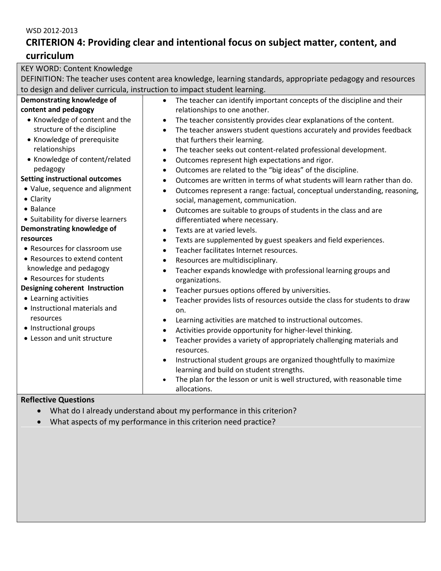# **CRITERION 4: Providing clear and intentional focus on subject matter, content, and curriculum**

| DEFINITION: The teacher uses content area knowledge, learning standards, appropriate pedagogy and resources<br>to design and deliver curricula, instruction to impact student learning.<br>Demonstrating knowledge of<br>The teacher can identify important concepts of the discipline and their<br>$\bullet$<br>content and pedagogy<br>relationships to one another. |  |
|------------------------------------------------------------------------------------------------------------------------------------------------------------------------------------------------------------------------------------------------------------------------------------------------------------------------------------------------------------------------|--|
|                                                                                                                                                                                                                                                                                                                                                                        |  |
|                                                                                                                                                                                                                                                                                                                                                                        |  |
|                                                                                                                                                                                                                                                                                                                                                                        |  |
|                                                                                                                                                                                                                                                                                                                                                                        |  |
| • Knowledge of content and the<br>The teacher consistently provides clear explanations of the content.                                                                                                                                                                                                                                                                 |  |
| structure of the discipline<br>The teacher answers student questions accurately and provides feedback<br>$\bullet$                                                                                                                                                                                                                                                     |  |
| • Knowledge of prerequisite<br>that furthers their learning.                                                                                                                                                                                                                                                                                                           |  |
| relationships<br>The teacher seeks out content-related professional development.<br>$\bullet$                                                                                                                                                                                                                                                                          |  |
| • Knowledge of content/related<br>Outcomes represent high expectations and rigor.<br>$\bullet$                                                                                                                                                                                                                                                                         |  |
| pedagogy<br>Outcomes are related to the "big ideas" of the discipline.<br>$\bullet$                                                                                                                                                                                                                                                                                    |  |
| <b>Setting instructional outcomes</b><br>Outcomes are written in terms of what students will learn rather than do.<br>$\bullet$                                                                                                                                                                                                                                        |  |
| • Value, sequence and alignment<br>Outcomes represent a range: factual, conceptual understanding, reasoning,<br>$\bullet$                                                                                                                                                                                                                                              |  |
| • Clarity<br>social, management, communication.                                                                                                                                                                                                                                                                                                                        |  |
| • Balance<br>Outcomes are suitable to groups of students in the class and are<br>$\bullet$                                                                                                                                                                                                                                                                             |  |
| • Suitability for diverse learners<br>differentiated where necessary.                                                                                                                                                                                                                                                                                                  |  |
| Demonstrating knowledge of<br>Texts are at varied levels.<br>$\bullet$                                                                                                                                                                                                                                                                                                 |  |
| resources<br>Texts are supplemented by guest speakers and field experiences.<br>$\bullet$                                                                                                                                                                                                                                                                              |  |
| • Resources for classroom use<br>Teacher facilitates Internet resources.<br>$\bullet$                                                                                                                                                                                                                                                                                  |  |
| • Resources to extend content<br>Resources are multidisciplinary.<br>$\bullet$                                                                                                                                                                                                                                                                                         |  |
| knowledge and pedagogy<br>Teacher expands knowledge with professional learning groups and<br>$\bullet$                                                                                                                                                                                                                                                                 |  |
| • Resources for students<br>organizations.                                                                                                                                                                                                                                                                                                                             |  |
| <b>Designing coherent Instruction</b><br>Teacher pursues options offered by universities.<br>$\bullet$                                                                                                                                                                                                                                                                 |  |
| • Learning activities<br>Teacher provides lists of resources outside the class for students to draw<br>$\bullet$                                                                                                                                                                                                                                                       |  |
| • Instructional materials and<br>on.                                                                                                                                                                                                                                                                                                                                   |  |
| resources<br>Learning activities are matched to instructional outcomes.                                                                                                                                                                                                                                                                                                |  |
| • Instructional groups<br>Activities provide opportunity for higher-level thinking.                                                                                                                                                                                                                                                                                    |  |
| • Lesson and unit structure<br>Teacher provides a variety of appropriately challenging materials and<br>$\bullet$                                                                                                                                                                                                                                                      |  |
| resources.                                                                                                                                                                                                                                                                                                                                                             |  |
| Instructional student groups are organized thoughtfully to maximize                                                                                                                                                                                                                                                                                                    |  |
| learning and build on student strengths.                                                                                                                                                                                                                                                                                                                               |  |
| The plan for the lesson or unit is well structured, with reasonable time                                                                                                                                                                                                                                                                                               |  |
| allocations.<br>وموزاره وبالمربانا ومالكوه                                                                                                                                                                                                                                                                                                                             |  |

- What do I already understand about my performance in this criterion?
- What aspects of my performance in this criterion need practice?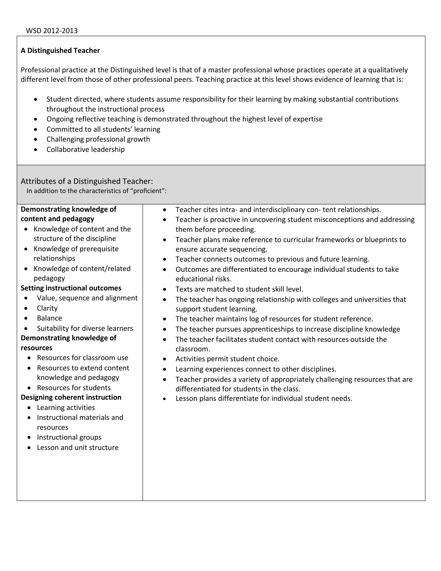Professional practice at the Distinguished level is that of a master professional whose practices operate at a qualitatively different level from those of other professional peers. Teaching practice at this level shows evidence of learning that is:

- Student directed, where students assume responsibility for their learning by making substantial contributions throughout the instructional process
- Ongoing reflective teaching is demonstrated throughout the highest level of expertise
- Committed to all students' learning
- Challenging professional growth
- Collaborative leadership

## Attributes of a Distinguished Teacher:

In addition to the characteristics of "proficient":

#### **Demonstrating knowledge of content and pedagogy**

- Knowledge of content and the structure of the discipline
- Knowledge of prerequisite relationships
- Knowledge of content/related pedagogy

# **Setting instructional outcomes**

- Value, sequence and alignment
- Clarity
- Balance
- Suitability for diverse learners

## **Demonstrating knowledge of resources**

- - Resources for classroom use
	- Resources to extend content knowledge and pedagogy
	- Resources for students

## **Designing coherent instruction**

- Learning activities
- Instructional materials and resources
- Instructional groups
- Lesson and unit structure
- Teacher cites intra- and interdisciplinary con- tent relationships. Teacher is proactive in uncovering student misconceptions and addressing them before proceeding.
- Teacher plans make reference to curricular frameworks or blueprints to ensure accurate sequencing.
- Teacher connects outcomes to previous and future learning.
- Outcomes are differentiated to encourage individual students to take educational risks.
- Texts are matched to student skill level.
- The teacher has ongoing relationship with colleges and universities that support student learning.
- The teacher maintains log of resources for student reference.
- The teacher pursues apprenticeships to increase discipline knowledge
- The teacher facilitates student contact with resources outside the classroom.
- Activities permit student choice.
- Learning experiences connect to other disciplines.
- Teacher provides a variety of appropriately challenging resources that are differentiated for students in the class.
- Lesson plans differentiate for individual student needs.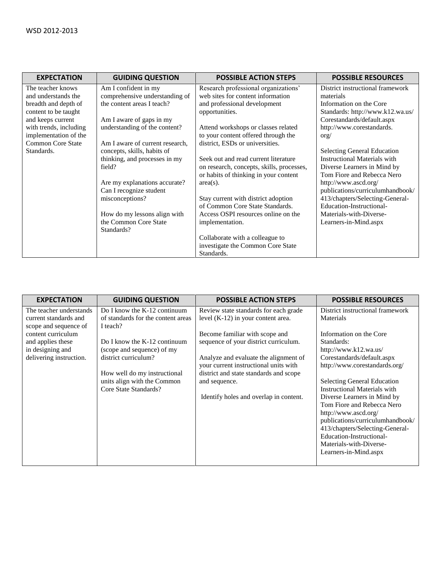| <b>EXPECTATION</b>       | <b>GUIDING QUESTION</b>         | <b>POSSIBLE ACTION STEPS</b>              | <b>POSSIBLE RESOURCES</b>           |
|--------------------------|---------------------------------|-------------------------------------------|-------------------------------------|
| The teacher knows        | Am I confident in my            | Research professional organizations'      | District instructional framework    |
| and understands the      | comprehensive understanding of  | web sites for content information         | materials                           |
| breadth and depth of     | the content areas I teach?      | and professional development              | Information on the Core             |
| content to be taught     |                                 | opportunities.                            | Standards: http://www.k12.wa.us/    |
| and keeps current        | Am I aware of gaps in my        |                                           | Corestandards/default.aspx          |
| with trends, including   | understanding of the content?   | Attend workshops or classes related       | http://www.corestandards.           |
| implementation of the    |                                 | to your content offered through the       | $\text{org}/$                       |
| <b>Common Core State</b> | Am I aware of current research, | district, ESDs or universities.           |                                     |
| Standards.               | concepts, skills, habits of     |                                           | <b>Selecting General Education</b>  |
|                          | thinking, and processes in my   | Seek out and read current literature      | <b>Instructional Materials with</b> |
|                          | field?                          | on research, concepts, skills, processes, | Diverse Learners in Mind by         |
|                          |                                 | or habits of thinking in your content     | Tom Fiore and Rebecca Nero          |
|                          | Are my explanations accurate?   | $area(s)$ .                               | http://www.ascd.org/                |
|                          | Can I recognize student         |                                           | publications/curriculumhandbook/    |
|                          | misconceptions?                 | Stay current with district adoption       | 413/chapters/Selecting-General-     |
|                          |                                 | of Common Core State Standards.           | Education-Instructional-            |
|                          | How do my lessons align with    | Access OSPI resources online on the       | Materials-with-Diverse-             |
|                          | the Common Core State           | implementation.                           | Learners-in-Mind.aspx               |
|                          | Standards?                      |                                           |                                     |
|                          |                                 | Collaborate with a colleague to           |                                     |
|                          |                                 | investigate the Common Core State         |                                     |
|                          |                                 | Standards.                                |                                     |

| <b>EXPECTATION</b>                                                                     | <b>GUIDING QUESTION</b>                                                                                                                                                      | <b>POSSIBLE ACTION STEPS</b>                                                                                                                                                                                                                                   | <b>POSSIBLE RESOURCES</b>                                                                                                                                                                                                                                                                                                                                                                                       |
|----------------------------------------------------------------------------------------|------------------------------------------------------------------------------------------------------------------------------------------------------------------------------|----------------------------------------------------------------------------------------------------------------------------------------------------------------------------------------------------------------------------------------------------------------|-----------------------------------------------------------------------------------------------------------------------------------------------------------------------------------------------------------------------------------------------------------------------------------------------------------------------------------------------------------------------------------------------------------------|
| The teacher understands<br>current standards and<br>scope and sequence of              | Do I know the $K-12$ continuum<br>of standards for the content areas<br>I teach?                                                                                             | Review state standards for each grade<br>level $(K-12)$ in your content area.                                                                                                                                                                                  | District instructional framework<br><b>Materials</b>                                                                                                                                                                                                                                                                                                                                                            |
| content curriculum<br>and applies these<br>in designing and<br>delivering instruction. | Do I know the $K-12$ continuum<br>(scope and sequence) of my<br>district curriculum?<br>How well do my instructional<br>units align with the Common<br>Core State Standards? | Become familiar with scope and<br>sequence of your district curriculum.<br>Analyze and evaluate the alignment of<br>your current instructional units with<br>district and state standards and scope<br>and sequence.<br>Identify holes and overlap in content. | Information on the Core<br>Standards:<br>http://www.k12.wa.us/<br>Corestandards/default.aspx<br>http://www.corestandards.org/<br>Selecting General Education<br>Instructional Materials with<br>Diverse Learners in Mind by<br>Tom Fiore and Rebecca Nero<br>http://www.ascd.org/<br>publications/curriculumhandbook/<br>413/chapters/Selecting-General-<br>Education-Instructional-<br>Materials-with-Diverse- |
|                                                                                        |                                                                                                                                                                              |                                                                                                                                                                                                                                                                | Learners-in-Mind.aspx                                                                                                                                                                                                                                                                                                                                                                                           |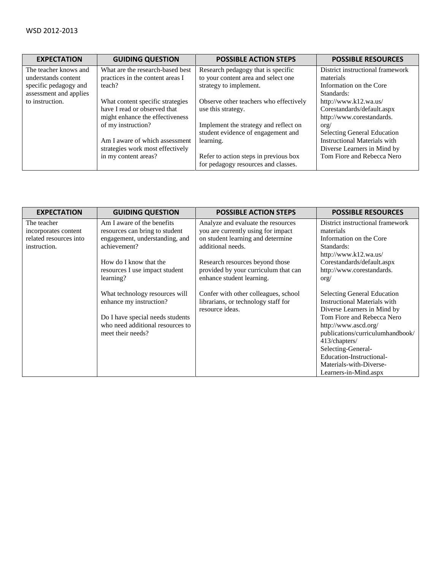| <b>EXPECTATION</b>     | <b>GUIDING QUESTION</b>          | <b>POSSIBLE ACTION STEPS</b>           | <b>POSSIBLE RESOURCES</b>           |
|------------------------|----------------------------------|----------------------------------------|-------------------------------------|
| The teacher knows and  | What are the research-based best | Research pedagogy that is specific     | District instructional framework    |
| understands content    | practices in the content areas I | to your content area and select one    | materials                           |
| specific pedagogy and  | teach?                           | strategy to implement.                 | Information on the Core             |
| assessment and applies |                                  |                                        | Standards:                          |
| to instruction.        | What content specific strategies | Observe other teachers who effectively | http://www.k12.wa.us/               |
|                        | have I read or observed that     | use this strategy.                     | Corestandards/default.aspx          |
|                        | might enhance the effectiveness  |                                        | http://www.corestandards.           |
|                        | of my instruction?               | Implement the strategy and reflect on  | $\text{org}/$                       |
|                        |                                  | student evidence of engagement and     | Selecting General Education         |
|                        | Am I aware of which assessment   | learning.                              | <b>Instructional Materials with</b> |
|                        | strategies work most effectively |                                        | Diverse Learners in Mind by         |
|                        | in my content areas?             | Refer to action steps in previous box  | Tom Fiore and Rebecca Nero          |
|                        |                                  | for pedagogy resources and classes.    |                                     |

| <b>EXPECTATION</b>     | <b>GUIDING QUESTION</b>          | <b>POSSIBLE ACTION STEPS</b>         | <b>POSSIBLE RESOURCES</b>           |
|------------------------|----------------------------------|--------------------------------------|-------------------------------------|
| The teacher            | Am I aware of the benefits       | Analyze and evaluate the resources   | District instructional framework    |
| incorporates content   | resources can bring to student   | you are currently using for impact   | materials                           |
| related resources into | engagement, understanding, and   | on student learning and determine    | Information on the Core             |
| instruction.           | achievement?                     | additional needs.                    | Standards:                          |
|                        |                                  |                                      | http://www.k12.wa.us/               |
|                        | How do I know that the           | Research resources beyond those      | Corestandards/default.aspx          |
|                        | resources I use impact student   | provided by your curriculum that can | http://www.corestandards.           |
|                        | learning?                        | enhance student learning.            | $\text{org}/$                       |
|                        | What technology resources will   | Confer with other colleagues, school | <b>Selecting General Education</b>  |
|                        | enhance my instruction?          | librarians, or technology staff for  | <b>Instructional Materials with</b> |
|                        |                                  | resource ideas.                      | Diverse Learners in Mind by         |
|                        | Do I have special needs students |                                      | Tom Fiore and Rebecca Nero          |
|                        | who need additional resources to |                                      | http://www.ascd.org/                |
|                        | meet their needs?                |                                      | publications/curriculumhandbook/    |
|                        |                                  |                                      | 413/chapters/                       |
|                        |                                  |                                      | Selecting-General-                  |
|                        |                                  |                                      | Education-Instructional-            |
|                        |                                  |                                      | Materials-with-Diverse-             |
|                        |                                  |                                      | Learners-in-Mind.aspx               |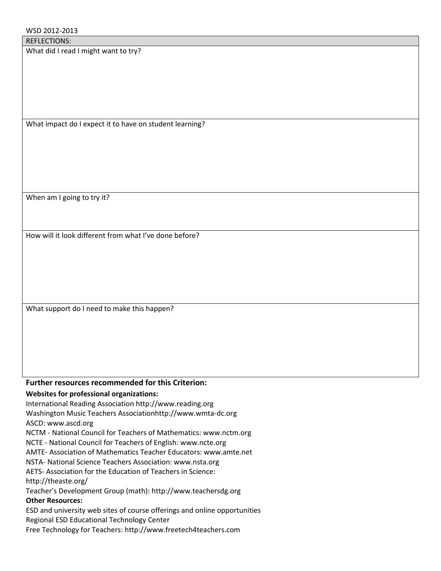What did I read I might want to try?

What impact do I expect it to have on student learning?

When am I going to try it?

How will it look different from what I've done before?

What support do I need to make this happen?

# **Further resources recommended for this Criterion:**

# **Websites for professional organizations:**

International Reading Association http://www.reading.org Washington Music Teachers Associationhttp://www.wmta-dc.org ASCD: www.ascd.org

NCTM - National Council for Teachers of Mathematics: www.nctm.org

NCTE - National Council for Teachers of English: www.ncte.org

AMTE- Association of Mathematics Teacher Educators: www.amte.net

NSTA- National Science Teachers Association: www.nsta.org

AETS- Association for the Education of Teachers in Science:

http://theaste.org/

Teacher's Development Group (math): http://www.teachersdg.org

# **Other Resources:**

ESD and university web sites of course offerings and online opportunities Regional ESD Educational Technology Center

Free Technology for Teachers: http://www.freetech4teachers.com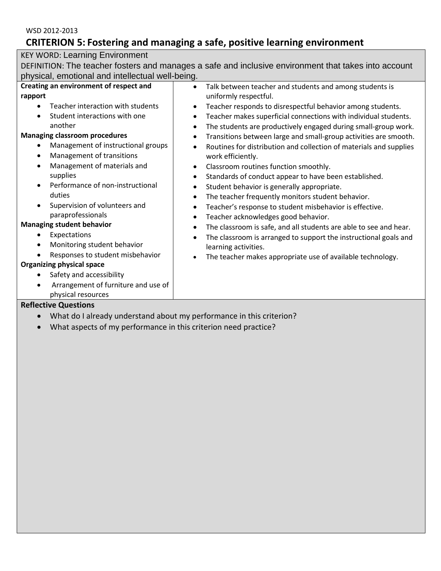# **CRITERION 5: Fostering and managing a safe, positive learning environment**

# KEY WORD: Learning Environment

DEFINITION: The teacher fosters and manages a safe and inclusive environment that takes into account physical, emotional and intellectual well-being.

| Creating an environment of respect and                                                                                                                                                                                                                                                                                                                | Talk between teacher and students and among students is                                                                                                                                                                                                                                                                                                                                                                                                                                                        |
|-------------------------------------------------------------------------------------------------------------------------------------------------------------------------------------------------------------------------------------------------------------------------------------------------------------------------------------------------------|----------------------------------------------------------------------------------------------------------------------------------------------------------------------------------------------------------------------------------------------------------------------------------------------------------------------------------------------------------------------------------------------------------------------------------------------------------------------------------------------------------------|
| rapport                                                                                                                                                                                                                                                                                                                                               | uniformly respectful.                                                                                                                                                                                                                                                                                                                                                                                                                                                                                          |
| Teacher interaction with students<br>$\bullet$<br>Student interactions with one<br>$\bullet$<br>another<br><b>Managing classroom procedures</b><br>Management of instructional groups<br>$\bullet$<br>Management of transitions<br>$\bullet$<br>Management of materials and<br>$\bullet$<br>supplies<br>Performance of non-instructional<br>$\bullet$ | Teacher responds to disrespectful behavior among students.<br>Teacher makes superficial connections with individual students.<br>The students are productively engaged during small-group work.<br>Transitions between large and small-group activities are smooth.<br>Routines for distribution and collection of materials and supplies<br>work efficiently.<br>Classroom routines function smoothly.<br>Standards of conduct appear to have been established.<br>Student behavior is generally appropriate. |
| duties<br>Supervision of volunteers and<br>$\bullet$<br>paraprofessionals<br><b>Managing student behavior</b><br>Expectations<br>$\bullet$                                                                                                                                                                                                            | The teacher frequently monitors student behavior.<br>Teacher's response to student misbehavior is effective.<br>Teacher acknowledges good behavior.<br>$\bullet$<br>The classroom is safe, and all students are able to see and hear.<br>The classroom is arranged to support the instructional goals and                                                                                                                                                                                                      |
| Monitoring student behavior<br>$\bullet$<br>Responses to student misbehavior<br><b>Organizing physical space</b>                                                                                                                                                                                                                                      | learning activities.<br>The teacher makes appropriate use of available technology.                                                                                                                                                                                                                                                                                                                                                                                                                             |
| Safety and accessibility<br>$\bullet$<br>Arrangement of furniture and use of<br>$\bullet$<br>physical resources                                                                                                                                                                                                                                       |                                                                                                                                                                                                                                                                                                                                                                                                                                                                                                                |

- What do I already understand about my performance in this criterion?
- What aspects of my performance in this criterion need practice?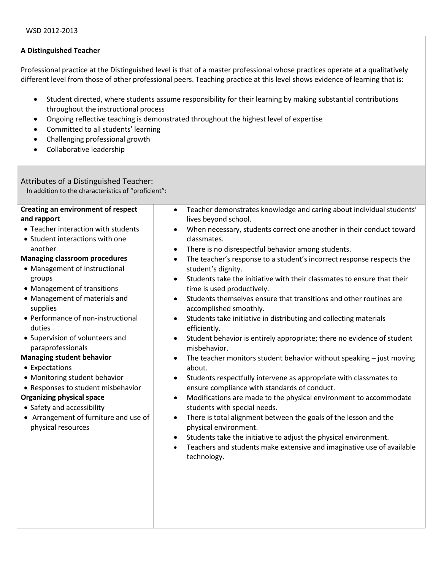Professional practice at the Distinguished level is that of a master professional whose practices operate at a qualitatively different level from those of other professional peers. Teaching practice at this level shows evidence of learning that is:

- Student directed, where students assume responsibility for their learning by making substantial contributions throughout the instructional process
- Ongoing reflective teaching is demonstrated throughout the highest level of expertise
- Committed to all students' learning
- Challenging professional growth
- **•** Collaborative leadership

## Attributes of a Distinguished Teacher:

In addition to the characteristics of "proficient":

| <b>Creating an environment of respect</b> | Teacher demonstrates knowledge and caring about individual students'<br>$\bullet$    |
|-------------------------------------------|--------------------------------------------------------------------------------------|
| and rapport                               | lives beyond school.                                                                 |
| • Teacher interaction with students       | When necessary, students correct one another in their conduct toward                 |
| • Student interactions with one           | classmates.                                                                          |
| another                                   | There is no disrespectful behavior among students.<br>$\bullet$                      |
| <b>Managing classroom procedures</b>      | The teacher's response to a student's incorrect response respects the<br>$\bullet$   |
| • Management of instructional             | student's dignity.                                                                   |
| groups                                    | Students take the initiative with their classmates to ensure that their<br>$\bullet$ |
| • Management of transitions               | time is used productively.                                                           |
| • Management of materials and             | Students themselves ensure that transitions and other routines are<br>$\bullet$      |
| supplies                                  | accomplished smoothly.                                                               |
| • Performance of non-instructional        | Students take initiative in distributing and collecting materials<br>$\bullet$       |
| duties                                    | efficiently.                                                                         |
| • Supervision of volunteers and           | Student behavior is entirely appropriate; there no evidence of student<br>$\bullet$  |
| paraprofessionals                         | misbehavior.                                                                         |
| <b>Managing student behavior</b>          | The teacher monitors student behavior without speaking $-$ just moving               |
| • Expectations                            | about.                                                                               |
| • Monitoring student behavior             | Students respectfully intervene as appropriate with classmates to<br>$\bullet$       |
| • Responses to student misbehavior        | ensure compliance with standards of conduct.                                         |
| <b>Organizing physical space</b>          | Modifications are made to the physical environment to accommodate<br>$\bullet$       |
| • Safety and accessibility                | students with special needs.                                                         |
| • Arrangement of furniture and use of     | There is total alignment between the goals of the lesson and the<br>$\bullet$        |
| physical resources                        | physical environment.                                                                |
|                                           | Students take the initiative to adjust the physical environment.<br>$\bullet$        |
|                                           | Teachers and students make extensive and imaginative use of available                |
|                                           | technology.                                                                          |
|                                           |                                                                                      |
|                                           |                                                                                      |
|                                           |                                                                                      |
|                                           |                                                                                      |
|                                           |                                                                                      |
|                                           |                                                                                      |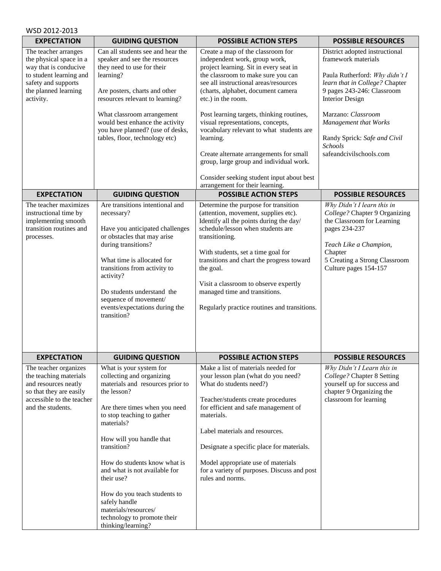| WSD 2012-2013                                                                                                                                                                         |                                                                                                                                                                                                                                                                                                                                                                                                                                              |                                                                                                                                                                                                                                                                                                                                                                                                                                                                                                                                                                                                          |                                                                                                                                                                                                                                                                                                                                     |
|---------------------------------------------------------------------------------------------------------------------------------------------------------------------------------------|----------------------------------------------------------------------------------------------------------------------------------------------------------------------------------------------------------------------------------------------------------------------------------------------------------------------------------------------------------------------------------------------------------------------------------------------|----------------------------------------------------------------------------------------------------------------------------------------------------------------------------------------------------------------------------------------------------------------------------------------------------------------------------------------------------------------------------------------------------------------------------------------------------------------------------------------------------------------------------------------------------------------------------------------------------------|-------------------------------------------------------------------------------------------------------------------------------------------------------------------------------------------------------------------------------------------------------------------------------------------------------------------------------------|
| <b>EXPECTATION</b>                                                                                                                                                                    | <b>GUIDING QUESTION</b>                                                                                                                                                                                                                                                                                                                                                                                                                      | <b>POSSIBLE ACTION STEPS</b>                                                                                                                                                                                                                                                                                                                                                                                                                                                                                                                                                                             | <b>POSSIBLE RESOURCES</b>                                                                                                                                                                                                                                                                                                           |
| The teacher arranges<br>the physical space in a<br>way that is conducive<br>to student learning and<br>safety and supports<br>the planned learning<br>activity.<br><b>EXPECTATION</b> | Can all students see and hear the<br>speaker and see the resources<br>they need to use for their<br>learning?<br>Are posters, charts and other<br>resources relevant to learning?<br>What classroom arrangement<br>would best enhance the activity<br>you have planned? (use of desks,<br>tables, floor, technology etc)<br><b>GUIDING QUESTION</b>                                                                                          | Create a map of the classroom for<br>independent work, group work,<br>project learning. Sit in every seat in<br>the classroom to make sure you can<br>see all instructional areas/resources<br>(charts, alphabet, document camera<br>etc.) in the room.<br>Post learning targets, thinking routines,<br>visual representations, concepts,<br>vocabulary relevant to what students are<br>learning.<br>Create alternate arrangements for small<br>group, large group and individual work.<br>Consider seeking student input about best<br>arrangement for their learning.<br><b>POSSIBLE ACTION STEPS</b> | District adopted instructional<br>framework materials<br>Paula Rutherford: Why didn't I<br>learn that in College? Chapter<br>9 pages 243-246: Classroom<br><b>Interior Design</b><br>Marzano: Classroom<br>Management that Works<br>Randy Sprick: Safe and Civil<br>Schools<br>safeandcivilschools.com<br><b>POSSIBLE RESOURCES</b> |
| The teacher maximizes                                                                                                                                                                 | Are transitions intentional and                                                                                                                                                                                                                                                                                                                                                                                                              | Determine the purpose for transition                                                                                                                                                                                                                                                                                                                                                                                                                                                                                                                                                                     | Why Didn't I learn this in                                                                                                                                                                                                                                                                                                          |
| instructional time by<br>implementing smooth<br>transition routines and<br>processes.                                                                                                 | necessary?<br>Have you anticipated challenges<br>or obstacles that may arise<br>during transitions?<br>What time is allocated for<br>transitions from activity to<br>activity?<br>Do students understand the<br>sequence of movement/<br>events/expectations during the<br>transition?                                                                                                                                                       | (attention, movement, supplies etc).<br>Identify all the points during the day/<br>schedule/lesson when students are<br>transitioning.<br>With students, set a time goal for<br>transitions and chart the progress toward<br>the goal.<br>Visit a classroom to observe expertly<br>managed time and transitions.<br>Regularly practice routines and transitions.                                                                                                                                                                                                                                         | College? Chapter 9 Organizing<br>the Classroom for Learning<br>pages 234-237<br>Teach Like a Champion,<br>Chapter<br>5 Creating a Strong Classroom<br>Culture pages 154-157                                                                                                                                                         |
| <b>EXPECTATION</b>                                                                                                                                                                    | <b>GUIDING QUESTION</b>                                                                                                                                                                                                                                                                                                                                                                                                                      | <b>POSSIBLE ACTION STEPS</b>                                                                                                                                                                                                                                                                                                                                                                                                                                                                                                                                                                             | <b>POSSIBLE RESOURCES</b>                                                                                                                                                                                                                                                                                                           |
| The teacher organizes<br>the teaching materials<br>and resources neatly<br>so that they are easily<br>accessible to the teacher<br>and the students.                                  | What is your system for<br>collecting and organizing<br>materials and resources prior to<br>the lesson?<br>Are there times when you need<br>to stop teaching to gather<br>materials?<br>How will you handle that<br>transition?<br>How do students know what is<br>and what is not available for<br>their use?<br>How do you teach students to<br>safely handle<br>materials/resources/<br>technology to promote their<br>thinking/learning? | Make a list of materials needed for<br>your lesson plan (what do you need?<br>What do students need?)<br>Teacher/students create procedures<br>for efficient and safe management of<br>materials.<br>Label materials and resources.<br>Designate a specific place for materials.<br>Model appropriate use of materials<br>for a variety of purposes. Discuss and post<br>rules and norms.                                                                                                                                                                                                                | Why Didn't I Learn this in<br>College? Chapter 8 Setting<br>yourself up for success and<br>chapter 9 Organizing the<br>classroom for learning                                                                                                                                                                                       |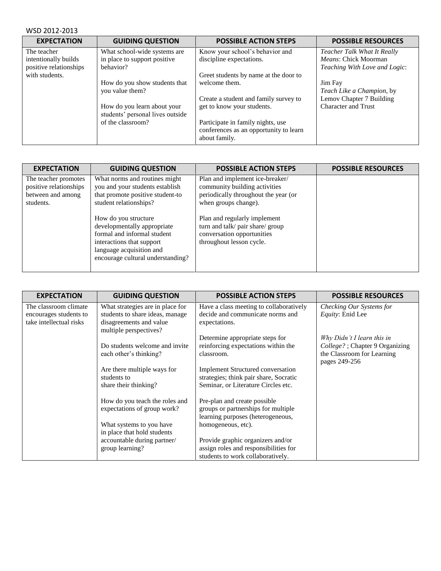| WSD 2012-2013                                                                   |                                                                                      |                                                                                                                            |                                                                                                    |
|---------------------------------------------------------------------------------|--------------------------------------------------------------------------------------|----------------------------------------------------------------------------------------------------------------------------|----------------------------------------------------------------------------------------------------|
| <b>EXPECTATION</b>                                                              | <b>GUIDING QUESTION</b>                                                              | <b>POSSIBLE ACTION STEPS</b>                                                                                               | <b>POSSIBLE RESOURCES</b>                                                                          |
| The teacher<br>intentionally builds<br>positive relationships<br>with students. | What school-wide systems are<br>in place to support positive<br>behavior?            | Know your school's behavior and<br>discipline expectations.<br>Greet students by name at the door to                       | Teacher Talk What It Really<br><i>Means:</i> Chick Moorman<br><i>Teaching With Love and Logic:</i> |
|                                                                                 | How do you show students that<br>you value them?                                     | welcome them.<br>Create a student and family survey to                                                                     | Jim Fay<br>Teach Like a Champion, by<br>Lemov Chapter 7 Building                                   |
|                                                                                 | How do you learn about your<br>students' personal lives outside<br>of the classroom? | get to know your students.<br>Participate in family nights, use<br>conferences as an opportunity to learn<br>about family. | <b>Character and Trust</b>                                                                         |

| <b>EXPECTATION</b>                                                               | <b>GUIDING QUESTION</b>                                                                                                                                                          | <b>POSSIBLE ACTION STEPS</b>                                                                                                     | <b>POSSIBLE RESOURCES</b> |
|----------------------------------------------------------------------------------|----------------------------------------------------------------------------------------------------------------------------------------------------------------------------------|----------------------------------------------------------------------------------------------------------------------------------|---------------------------|
| The teacher promotes<br>positive relationships<br>between and among<br>students. | What norms and routines might<br>you and your students establish<br>that promote positive student-to<br>student relationships?                                                   | Plan and implement ice-breaker/<br>community building activities<br>periodically throughout the year (or<br>when groups change). |                           |
|                                                                                  | How do you structure<br>developmentally appropriate<br>formal and informal student<br>interactions that support<br>language acquisition and<br>encourage cultural understanding? | Plan and regularly implement<br>turn and talk/ pair share/ group<br>conversation opportunities<br>throughout lesson cycle.       |                           |

| <b>EXPECTATION</b>      | <b>GUIDING QUESTION</b>          | <b>POSSIBLE ACTION STEPS</b>             | <b>POSSIBLE RESOURCES</b>       |
|-------------------------|----------------------------------|------------------------------------------|---------------------------------|
| The classroom climate   | What strategies are in place for | Have a class meeting to collaboratively  | Checking Our Systems for        |
| encourages students to  | students to share ideas, manage  | decide and communicate norms and         | Equity: Enid Lee                |
| take intellectual risks | disagreements and value          | expectations.                            |                                 |
|                         | multiple perspectives?           |                                          |                                 |
|                         |                                  | Determine appropriate steps for          | Why Didn't I learn this in      |
|                         | Do students welcome and invite   | reinforcing expectations within the      | College? ; Chapter 9 Organizing |
|                         | each other's thinking?           | classroom.                               | the Classroom for Learning      |
|                         |                                  |                                          | pages 249-256                   |
|                         | Are there multiple ways for      | <b>Implement Structured conversation</b> |                                 |
|                         | students to                      | strategies; think pair share, Socratic   |                                 |
|                         | share their thinking?            | Seminar, or Literature Circles etc.      |                                 |
|                         | How do you teach the roles and   | Pre-plan and create possible             |                                 |
|                         | expectations of group work?      | groups or partnerships for multiple      |                                 |
|                         |                                  |                                          |                                 |
|                         |                                  | learning purposes (heterogeneous,        |                                 |
|                         | What systems to you have         | homogeneous, etc).                       |                                 |
|                         | in place that hold students      |                                          |                                 |
|                         | accountable during partner/      | Provide graphic organizers and/or        |                                 |
|                         | group learning?                  | assign roles and responsibilities for    |                                 |
|                         |                                  | students to work collaboratively.        |                                 |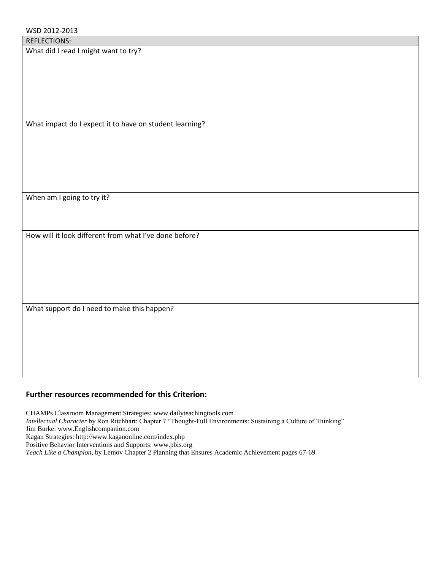|  | <b>REFLECTIONS:</b> |
|--|---------------------|
|  |                     |

What did I read I might want to try?

What impact do I expect it to have on student learning?

When am I going to try it?

How will it look different from what I've done before?

What support do I need to make this happen?

## **Further resources recommended for this Criterion:**

CHAMPs Classroom Management Strategies: www.dailyteachingtools.com *Intellectual Character* by Ron Ritchhart: Chapter 7 "Thought-Full Environments: Sustaining a Culture of Thinking" Jim Burke: www.Englishcompanion.com Kagan Strategies: http://www.kaganonline.com/index.php Positive Behavior Interventions and Supports: www.pbis.org *Teach Like a Champion*, by Lemov Chapter 2 Planning that Ensures Academic Achievement pages 67-69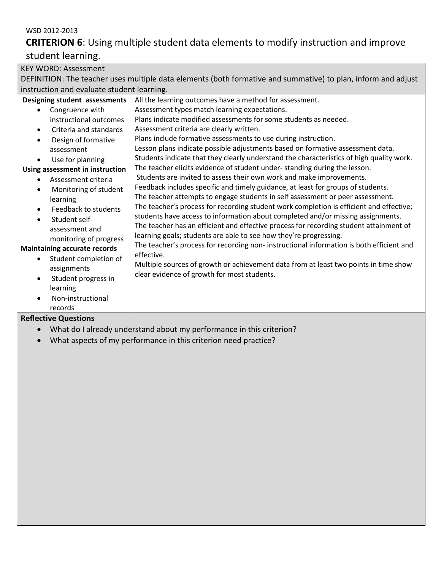# **CRITERION 6**: Using multiple student data elements to modify instruction and improve

# student learning.

| <b>KEY WORD: Assessment</b>                                                                                   |                                                                                          |  |  |
|---------------------------------------------------------------------------------------------------------------|------------------------------------------------------------------------------------------|--|--|
| DEFINITION: The teacher uses multiple data elements (both formative and summative) to plan, inform and adjust |                                                                                          |  |  |
| instruction and evaluate student learning.                                                                    |                                                                                          |  |  |
| Designing student assessments                                                                                 | All the learning outcomes have a method for assessment.                                  |  |  |
| Congruence with                                                                                               | Assessment types match learning expectations.                                            |  |  |
| instructional outcomes                                                                                        | Plans indicate modified assessments for some students as needed.                         |  |  |
| Criteria and standards<br>$\bullet$                                                                           | Assessment criteria are clearly written.                                                 |  |  |
| Design of formative                                                                                           | Plans include formative assessments to use during instruction.                           |  |  |
| assessment                                                                                                    | Lesson plans indicate possible adjustments based on formative assessment data.           |  |  |
| Use for planning                                                                                              | Students indicate that they clearly understand the characteristics of high quality work. |  |  |
| Using assessment in instruction                                                                               | The teacher elicits evidence of student under-standing during the lesson.                |  |  |
| Assessment criteria                                                                                           | Students are invited to assess their own work and make improvements.                     |  |  |
| Monitoring of student                                                                                         | Feedback includes specific and timely guidance, at least for groups of students.         |  |  |
| learning                                                                                                      | The teacher attempts to engage students in self assessment or peer assessment.           |  |  |
| Feedback to students                                                                                          | The teacher's process for recording student work completion is efficient and effective;  |  |  |
| Student self-                                                                                                 | students have access to information about completed and/or missing assignments.          |  |  |
| assessment and                                                                                                | The teacher has an efficient and effective process for recording student attainment of   |  |  |
| monitoring of progress                                                                                        | learning goals; students are able to see how they're progressing.                        |  |  |
| <b>Maintaining accurate records</b>                                                                           | The teacher's process for recording non-instructional information is both efficient and  |  |  |
| Student completion of                                                                                         | effective.                                                                               |  |  |
| assignments                                                                                                   | Multiple sources of growth or achievement data from at least two points in time show     |  |  |
| Student progress in                                                                                           | clear evidence of growth for most students.                                              |  |  |
| learning                                                                                                      |                                                                                          |  |  |
| Non-instructional                                                                                             |                                                                                          |  |  |
| records                                                                                                       |                                                                                          |  |  |
| <b>Reflective Questions</b>                                                                                   |                                                                                          |  |  |

- What do I already understand about my performance in this criterion?
- What aspects of my performance in this criterion need practice?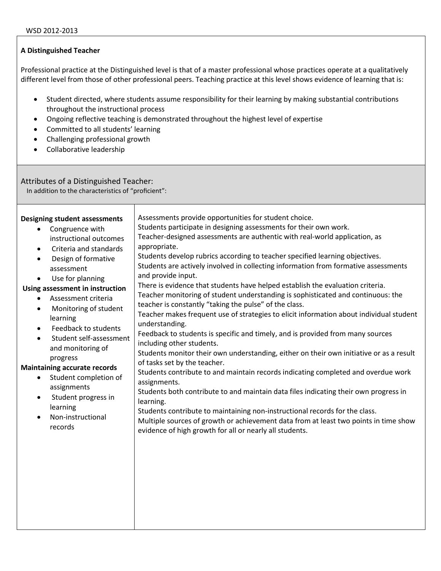Professional practice at the Distinguished level is that of a master professional whose practices operate at a qualitatively different level from those of other professional peers. Teaching practice at this level shows evidence of learning that is:

- Student directed, where students assume responsibility for their learning by making substantial contributions throughout the instructional process
- Ongoing reflective teaching is demonstrated throughout the highest level of expertise
- Committed to all students' learning
- Challenging professional growth
- **•** Collaborative leadership

# Attributes of a Distinguished Teacher:

In addition to the characteristics of "proficient":

| <b>Designing student assessments</b><br>Congruence with<br>instructional outcomes<br>Criteria and standards<br>$\bullet$<br>Design of formative<br>assessment<br>Use for planning<br>Using assessment in instruction<br>Assessment criteria<br>Monitoring of student<br>$\bullet$<br>learning<br>Feedback to students<br>$\bullet$<br>Student self-assessment<br>and monitoring of<br>progress<br><b>Maintaining accurate records</b><br>Student completion of<br>$\bullet$<br>assignments<br>Student progress in<br>$\bullet$<br>learning<br>Non-instructional<br>records | Assessments provide opportunities for student choice.<br>Students participate in designing assessments for their own work.<br>Teacher-designed assessments are authentic with real-world application, as<br>appropriate.<br>Students develop rubrics according to teacher specified learning objectives.<br>Students are actively involved in collecting information from formative assessments<br>and provide input.<br>There is evidence that students have helped establish the evaluation criteria.<br>Teacher monitoring of student understanding is sophisticated and continuous: the<br>teacher is constantly "taking the pulse" of the class.<br>Teacher makes frequent use of strategies to elicit information about individual student<br>understanding.<br>Feedback to students is specific and timely, and is provided from many sources<br>including other students.<br>Students monitor their own understanding, either on their own initiative or as a result<br>of tasks set by the teacher.<br>Students contribute to and maintain records indicating completed and overdue work<br>assignments.<br>Students both contribute to and maintain data files indicating their own progress in<br>learning.<br>Students contribute to maintaining non-instructional records for the class.<br>Multiple sources of growth or achievement data from at least two points in time show<br>evidence of high growth for all or nearly all students. |
|----------------------------------------------------------------------------------------------------------------------------------------------------------------------------------------------------------------------------------------------------------------------------------------------------------------------------------------------------------------------------------------------------------------------------------------------------------------------------------------------------------------------------------------------------------------------------|----------------------------------------------------------------------------------------------------------------------------------------------------------------------------------------------------------------------------------------------------------------------------------------------------------------------------------------------------------------------------------------------------------------------------------------------------------------------------------------------------------------------------------------------------------------------------------------------------------------------------------------------------------------------------------------------------------------------------------------------------------------------------------------------------------------------------------------------------------------------------------------------------------------------------------------------------------------------------------------------------------------------------------------------------------------------------------------------------------------------------------------------------------------------------------------------------------------------------------------------------------------------------------------------------------------------------------------------------------------------------------------------------------------------------------------------------------|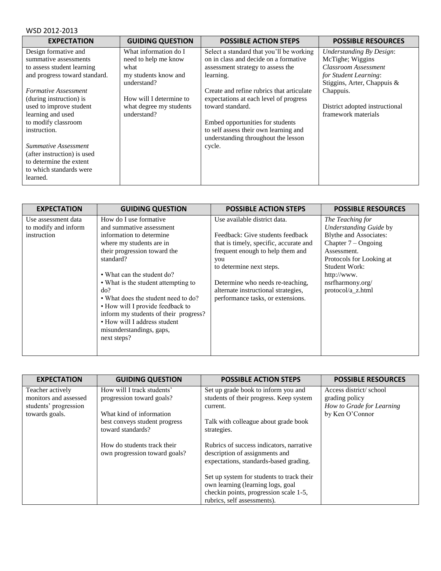| <b>EXPECTATION</b>            | <b>GUIDING QUESTION</b> | <b>POSSIBLE ACTION STEPS</b>              | <b>POSSIBLE RESOURCES</b>       |
|-------------------------------|-------------------------|-------------------------------------------|---------------------------------|
| Design formative and          | What information do I   | Select a standard that you'll be working  | <b>Understanding By Design:</b> |
| summative assessments         | need to help me know    | on in class and decide on a formative     | McTighe; Wiggins                |
| to assess student learning    | what                    | assessment strategy to assess the         | Classroom Assessment            |
| and progress toward standard. | my students know and    | learning.                                 | for Student Learning:           |
|                               | understand?             |                                           | Stiggins, Arter, Chappuis &     |
| Formative Assessment          |                         | Create and refine rubrics that articulate | Chappuis.                       |
| (during instruction) is       | How will I determine to | expectations at each level of progress    |                                 |
| used to improve student       | what degree my students | toward standard.                          | District adopted instructional  |
| learning and used             | understand?             |                                           | framework materials             |
| to modify classroom           |                         | Embed opportunities for students          |                                 |
| instruction.                  |                         | to self assess their own learning and     |                                 |
|                               |                         | understanding throughout the lesson       |                                 |
| Summative Assessment          |                         | cycle.                                    |                                 |
| (after instruction) is used   |                         |                                           |                                 |
| to determine the extent       |                         |                                           |                                 |
| to which standards were       |                         |                                           |                                 |
| learned.                      |                         |                                           |                                 |

| <b>EXPECTATION</b>                                         | <b>GUIDING QUESTION</b>                                                                                                                                                                                                                                                                                                                                                                                                            | <b>POSSIBLE ACTION STEPS</b>                                                                                                                                                                                                                                                                      | <b>POSSIBLE RESOURCES</b>                                                                                                                                                                                                |
|------------------------------------------------------------|------------------------------------------------------------------------------------------------------------------------------------------------------------------------------------------------------------------------------------------------------------------------------------------------------------------------------------------------------------------------------------------------------------------------------------|---------------------------------------------------------------------------------------------------------------------------------------------------------------------------------------------------------------------------------------------------------------------------------------------------|--------------------------------------------------------------------------------------------------------------------------------------------------------------------------------------------------------------------------|
| Use assessment data<br>to modify and inform<br>instruction | How do I use formative<br>and summative assessment<br>information to determine<br>where my students are in<br>their progression toward the<br>standard?<br>• What can the student do?<br>• What is the student attempting to<br>do?<br>• What does the student need to do?<br>• How will I provide feedback to<br>inform my students of their progress?<br>• How will I address student<br>misunderstandings, gaps,<br>next steps? | Use available district data.<br>Feedback: Give students feedback<br>that is timely, specific, accurate and<br>frequent enough to help them and<br>you<br>to determine next steps.<br>Determine who needs re-teaching,<br>alternate instructional strategies,<br>performance tasks, or extensions. | The Teaching for<br>Understanding Guide by<br><b>Blythe and Associates:</b><br>Chapter $7 - Ongoing$<br>Assessment.<br>Protocols for Looking at<br>Student Work:<br>http://www.<br>nsrfharmony.org/<br>protocol/a_z.html |

| <b>EXPECTATION</b>                                                                   | <b>GUIDING QUESTION</b>                                                             | <b>POSSIBLE ACTION STEPS</b>                                                                                                                            | <b>POSSIBLE RESOURCES</b>                                                                |
|--------------------------------------------------------------------------------------|-------------------------------------------------------------------------------------|---------------------------------------------------------------------------------------------------------------------------------------------------------|------------------------------------------------------------------------------------------|
| Teacher actively<br>monitors and assessed<br>students' progression<br>towards goals. | How will I track students'<br>progression toward goals?<br>What kind of information | Set up grade book to inform you and<br>students of their progress. Keep system<br>current.                                                              | Access district/school<br>grading policy<br>How to Grade for Learning<br>by Ken O'Connor |
|                                                                                      | best conveys student progress<br>toward standards?                                  | Talk with colleague about grade book<br>strategies.                                                                                                     |                                                                                          |
|                                                                                      | How do students track their<br>own progression toward goals?                        | Rubrics of success indicators, narrative<br>description of assignments and<br>expectations, standards-based grading.                                    |                                                                                          |
|                                                                                      |                                                                                     | Set up system for students to track their<br>own learning (learning logs, goal<br>checkin points, progression scale 1-5,<br>rubrics, self assessments). |                                                                                          |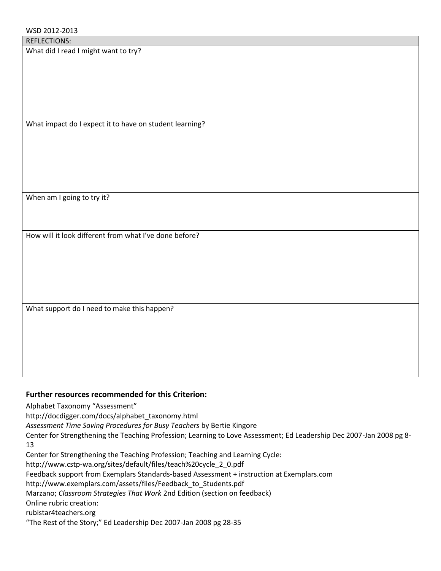What did I read I might want to try?

What impact do I expect it to have on student learning?

When am I going to try it?

How will it look different from what I've done before?

What support do I need to make this happen?

# **Further resources recommended for this Criterion:**

Alphabet Taxonomy "Assessment"

http://docdigger.com/docs/alphabet\_taxonomy.html

*Assessment Time Saving Procedures for Busy Teachers* by Bertie Kingore

Center for Strengthening the Teaching Profession; Learning to Love Assessment; Ed Leadership Dec 2007-Jan 2008 pg 8- 13

Center for Strengthening the Teaching Profession; Teaching and Learning Cycle:

http://www.cstp-wa.org/sites/default/files/teach%20cycle\_2\_0.pdf

Feedback support from Exemplars Standards-based Assessment + instruction at Exemplars.com

http://www.exemplars.com/assets/files/Feedback\_to\_Students.pdf

Marzano; *Classroom Strategies That Work* 2nd Edition (section on feedback)

Online rubric creation:

rubistar4teachers.org

"The Rest of the Story;" Ed Leadership Dec 2007-Jan 2008 pg 28-35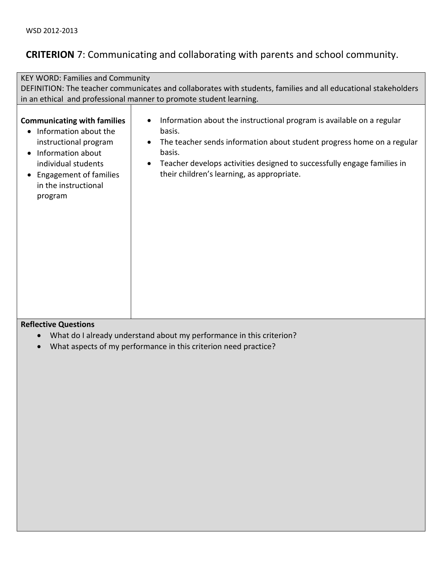# **CRITERION** 7: Communicating and collaborating with parents and school community.

| <b>KEY WORD: Families and Community</b>                                                                                                                                                       |                                                                                                                                                                                                                                                                                              |  |  |  |
|-----------------------------------------------------------------------------------------------------------------------------------------------------------------------------------------------|----------------------------------------------------------------------------------------------------------------------------------------------------------------------------------------------------------------------------------------------------------------------------------------------|--|--|--|
|                                                                                                                                                                                               | DEFINITION: The teacher communicates and collaborates with students, families and all educational stakeholders                                                                                                                                                                               |  |  |  |
|                                                                                                                                                                                               | in an ethical and professional manner to promote student learning.                                                                                                                                                                                                                           |  |  |  |
| <b>Communicating with families</b><br>Information about the<br>instructional program<br>Information about<br>individual students<br>Engagement of families<br>in the instructional<br>program | Information about the instructional program is available on a regular<br>basis.<br>The teacher sends information about student progress home on a regular<br>basis.<br>Teacher develops activities designed to successfully engage families in<br>their children's learning, as appropriate. |  |  |  |

- What do I already understand about my performance in this criterion?
- What aspects of my performance in this criterion need practice?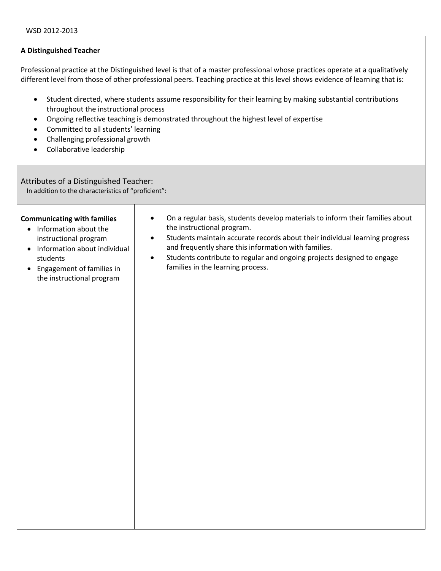Professional practice at the Distinguished level is that of a master professional whose practices operate at a qualitatively different level from those of other professional peers. Teaching practice at this level shows evidence of learning that is:

- Student directed, where students assume responsibility for their learning by making substantial contributions throughout the instructional process
- Ongoing reflective teaching is demonstrated throughout the highest level of expertise
- Committed to all students' learning
- Challenging professional growth
- Collaborative leadership

#### Attributes of a Distinguished Teacher:

In addition to the characteristics of "proficient":

# On a regular basis, students develop materials to inform their families about the instructional program.

- Students maintain accurate records about their individual learning progress and frequently share this information with families.
- Information about individual students
- Engagement of families in the instructional program

**Communicating with families**  • Information about the instructional program

> Students contribute to regular and ongoing projects designed to engage families in the learning process.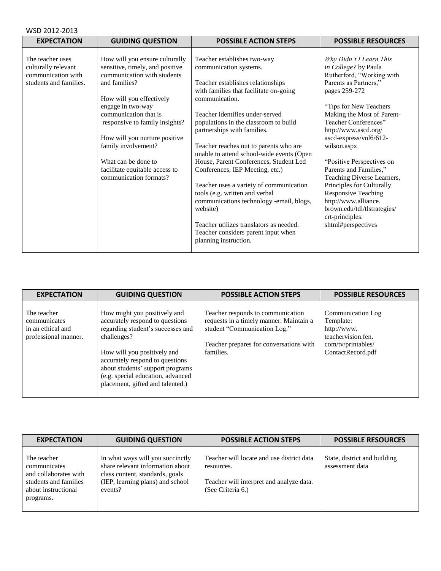| WSD 2012-2013                                                                           |                                                                                                                                                                                                                                                                                                                                                                          |                                                                                                                                                                                                                                                                                                                                                                                                                                                                                                                                                                                                                                                                                       |                                                                                                                                                                                                                                                                                                                                                                                                                                                                                                                         |  |
|-----------------------------------------------------------------------------------------|--------------------------------------------------------------------------------------------------------------------------------------------------------------------------------------------------------------------------------------------------------------------------------------------------------------------------------------------------------------------------|---------------------------------------------------------------------------------------------------------------------------------------------------------------------------------------------------------------------------------------------------------------------------------------------------------------------------------------------------------------------------------------------------------------------------------------------------------------------------------------------------------------------------------------------------------------------------------------------------------------------------------------------------------------------------------------|-------------------------------------------------------------------------------------------------------------------------------------------------------------------------------------------------------------------------------------------------------------------------------------------------------------------------------------------------------------------------------------------------------------------------------------------------------------------------------------------------------------------------|--|
| <b>EXPECTATION</b>                                                                      | <b>GUIDING QUESTION</b>                                                                                                                                                                                                                                                                                                                                                  | <b>POSSIBLE ACTION STEPS</b>                                                                                                                                                                                                                                                                                                                                                                                                                                                                                                                                                                                                                                                          | <b>POSSIBLE RESOURCES</b>                                                                                                                                                                                                                                                                                                                                                                                                                                                                                               |  |
| The teacher uses<br>culturally relevant<br>communication with<br>students and families. | How will you ensure culturally<br>sensitive, timely, and positive<br>communication with students<br>and families?<br>How will you effectively<br>engage in two-way<br>communication that is<br>responsive to family insights?<br>How will you nurture positive<br>family involvement?<br>What can be done to<br>facilitate equitable access to<br>communication formats? | Teacher establishes two-way<br>communication systems.<br>Teacher establishes relationships<br>with families that facilitate on-going<br>communication.<br>Teacher identifies under-served<br>populations in the classroom to build<br>partnerships with families.<br>Teacher reaches out to parents who are<br>unable to attend school-wide events (Open<br>House, Parent Conferences, Student Led<br>Conferences, IEP Meeting, etc.)<br>Teacher uses a variety of communication<br>tools (e.g. written and verbal<br>communications technology -email, blogs,<br>website)<br>Teacher utilizes translators as needed.<br>Teacher considers parent input when<br>planning instruction. | Why Didn't I Learn This<br>in College? by Paula<br>Rutherford, "Working with<br>Parents as Partners,"<br>pages 259-272<br>"Tips for New Teachers<br>Making the Most of Parent-<br>Teacher Conferences"<br>http://www.ascd.org/<br>ascd-express/vol6/612-<br>wilson.aspx<br>"Positive Perspectives on<br>Parents and Families,"<br>Teaching Diverse Learners,<br>Principles for Culturally<br><b>Responsive Teaching</b><br>http://www.alliance.<br>brown.edu/tdl/tlstrategies/<br>crt-principles.<br>shtml#perspectives |  |

| <b>EXPECTATION</b>                                                       | <b>GUIDING QUESTION</b>                                                                                                                                                                                                                                                                            | <b>POSSIBLE ACTION STEPS</b>                                                                                                                                         | <b>POSSIBLE RESOURCES</b>                                                                                      |
|--------------------------------------------------------------------------|----------------------------------------------------------------------------------------------------------------------------------------------------------------------------------------------------------------------------------------------------------------------------------------------------|----------------------------------------------------------------------------------------------------------------------------------------------------------------------|----------------------------------------------------------------------------------------------------------------|
| The teacher<br>communicates<br>in an ethical and<br>professional manner. | How might you positively and<br>accurately respond to questions<br>regarding student's successes and<br>challenges?<br>How will you positively and<br>accurately respond to questions<br>about students' support programs<br>(e.g. special education, advanced<br>placement, gifted and talented.) | Teacher responds to communication<br>requests in a timely manner. Maintain a<br>student "Communication Log."<br>Teacher prepares for conversations with<br>families. | Communication Log<br>Template:<br>http://www.<br>teachervision.fen.<br>com/tv/printables/<br>ContactRecord.pdf |

| <b>EXPECTATION</b>                                                                                                | <b>GUIDING QUESTION</b>                                                                                                                                | <b>POSSIBLE ACTION STEPS</b>                                                                                             | <b>POSSIBLE RESOURCES</b>                       |
|-------------------------------------------------------------------------------------------------------------------|--------------------------------------------------------------------------------------------------------------------------------------------------------|--------------------------------------------------------------------------------------------------------------------------|-------------------------------------------------|
| The teacher<br>communicates<br>and collaborates with<br>students and families<br>about instructional<br>programs. | In what ways will you succinctly<br>share relevant information about<br>class content, standards, goals<br>(IEP, learning plans) and school<br>events? | Teacher will locate and use district data<br>resources.<br>Teacher will interpret and analyze data.<br>(See Criteria 6.) | State, district and building<br>assessment data |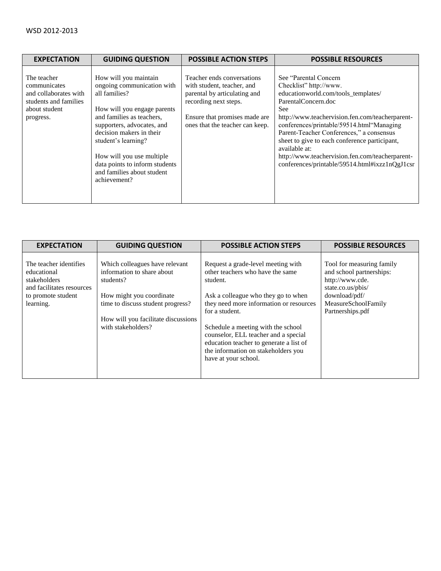| <b>EXPECTATION</b>                                                                                          | <b>GUIDING QUESTION</b>                                                                                                                                                                                                                                                                                                        | <b>POSSIBLE ACTION STEPS</b>                                                                                                                                                          | <b>POSSIBLE RESOURCES</b>                                                                                                                                                                                                                                                                                                                                                                                                                |
|-------------------------------------------------------------------------------------------------------------|--------------------------------------------------------------------------------------------------------------------------------------------------------------------------------------------------------------------------------------------------------------------------------------------------------------------------------|---------------------------------------------------------------------------------------------------------------------------------------------------------------------------------------|------------------------------------------------------------------------------------------------------------------------------------------------------------------------------------------------------------------------------------------------------------------------------------------------------------------------------------------------------------------------------------------------------------------------------------------|
| The teacher<br>communicates<br>and collaborates with<br>students and families<br>about student<br>progress. | How will you maintain<br>ongoing communication with<br>all families?<br>How will you engage parents<br>and families as teachers,<br>supporters, advocates, and<br>decision makers in their<br>student's learning?<br>How will you use multiple<br>data points to inform students<br>and families about student<br>achievement? | Teacher ends conversations<br>with student, teacher, and<br>parental by articulating and<br>recording next steps.<br>Ensure that promises made are<br>ones that the teacher can keep. | See "Parental Concern"<br>Checklist" http://www.<br>educationworld.com/tools_templates/<br>ParentalConcern.doc<br>See<br>http://www.teachervision.fen.com/teacherparent-<br>conferences/printable/59514.html"Managing<br>Parent-Teacher Conferences," a consensus<br>sheet to give to each conference participant,<br>available at:<br>http://www.teachervision.fen.com/teacherparent-<br>conferences/printable/59514.html#ixzz1nQgJ1csr |

| <b>EXPECTATION</b>                                                                                                    | <b>GUIDING QUESTION</b>                                                                                                                                                                                 | <b>POSSIBLE ACTION STEPS</b>                                                                                                                                                                                                                                                                                                                                                   | <b>POSSIBLE RESOURCES</b>                                                                                                                                 |
|-----------------------------------------------------------------------------------------------------------------------|---------------------------------------------------------------------------------------------------------------------------------------------------------------------------------------------------------|--------------------------------------------------------------------------------------------------------------------------------------------------------------------------------------------------------------------------------------------------------------------------------------------------------------------------------------------------------------------------------|-----------------------------------------------------------------------------------------------------------------------------------------------------------|
| The teacher identifies<br>educational<br>stakeholders<br>and facilitates resources<br>to promote student<br>learning. | Which colleagues have relevant<br>information to share about<br>students?<br>How might you coordinate<br>time to discuss student progress?<br>How will you facilitate discussions<br>with stakeholders? | Request a grade-level meeting with<br>other teachers who have the same<br>student.<br>Ask a colleague who they go to when<br>they need more information or resources<br>for a student.<br>Schedule a meeting with the school<br>counselor, ELL teacher and a special<br>education teacher to generate a list of<br>the information on stakeholders you<br>have at your school. | Tool for measuring family<br>and school partnerships:<br>http://www.cde.<br>state.co.us/pbis/<br>download/pdf/<br>MeasureSchoolFamily<br>Partnerships.pdf |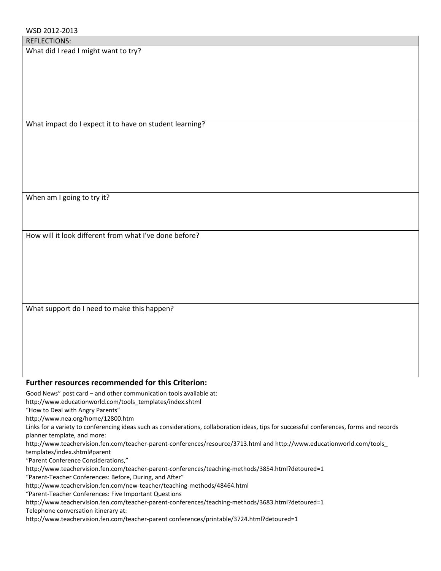What did I read I might want to try?

What impact do I expect it to have on student learning?

When am I going to try it?

How will it look different from what I've done before?

What support do I need to make this happen?

## **Further resources recommended for this Criterion:**

Good News" post card – and other communication tools available at:

http://www.educationworld.com/tools\_templates/index.shtml

"How to Deal with Angry Parents"

http://www.nea.org/home/12800.htm

Links for a variety to conferencing ideas such as considerations, collaboration ideas, tips for successful conferences, forms and records planner template, and more:

http://www.teachervision.fen.com/teacher-parent-conferences/resource/3713.html and http://www.educationworld.com/tools\_ templates/index.shtml#parent

"Parent Conference Considerations,"

http://www.teachervision.fen.com/teacher-parent-conferences/teaching-methods/3854.html?detoured=1

"Parent-Teacher Conferences: Before, During, and After"

http://www.teachervision.fen.com/new-teacher/teaching-methods/48464.html

"Parent-Teacher Conferences: Five Important Questions

http://www.teachervision.fen.com/teacher-parent-conferences/teaching-methods/3683.html?detoured=1

Telephone conversation itinerary at:

http://www.teachervision.fen.com/teacher-parent conferences/printable/3724.html?detoured=1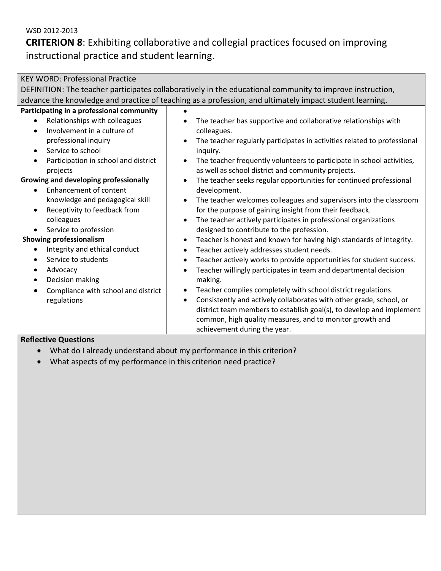**CRITERION 8**: Exhibiting collaborative and collegial practices focused on improving instructional practice and student learning.

| <b>KEY WORD: Professional Practice</b>                                                                    |                                                                                                         |  |  |  |
|-----------------------------------------------------------------------------------------------------------|---------------------------------------------------------------------------------------------------------|--|--|--|
| DEFINITION: The teacher participates collaboratively in the educational community to improve instruction, |                                                                                                         |  |  |  |
|                                                                                                           | advance the knowledge and practice of teaching as a profession, and ultimately impact student learning. |  |  |  |
| Participating in a professional community                                                                 |                                                                                                         |  |  |  |
| Relationships with colleagues<br>$\bullet$                                                                | The teacher has supportive and collaborative relationships with                                         |  |  |  |
| Involvement in a culture of                                                                               | colleagues.                                                                                             |  |  |  |
| professional inquiry                                                                                      | The teacher regularly participates in activities related to professional<br>$\bullet$                   |  |  |  |
| Service to school<br>$\bullet$                                                                            | inquiry.                                                                                                |  |  |  |
| Participation in school and district<br>$\bullet$                                                         | The teacher frequently volunteers to participate in school activities,<br>$\bullet$                     |  |  |  |
| projects                                                                                                  | as well as school district and community projects.                                                      |  |  |  |
| Growing and developing professionally                                                                     | The teacher seeks regular opportunities for continued professional                                      |  |  |  |
| <b>Enhancement of content</b>                                                                             | development.                                                                                            |  |  |  |
| knowledge and pedagogical skill                                                                           | The teacher welcomes colleagues and supervisors into the classroom<br>$\bullet$                         |  |  |  |
| Receptivity to feedback from<br>$\bullet$                                                                 | for the purpose of gaining insight from their feedback.                                                 |  |  |  |
| colleagues                                                                                                | The teacher actively participates in professional organizations<br>$\bullet$                            |  |  |  |
| Service to profession                                                                                     | designed to contribute to the profession.                                                               |  |  |  |
| <b>Showing professionalism</b>                                                                            | Teacher is honest and known for having high standards of integrity.<br>$\bullet$                        |  |  |  |
| Integrity and ethical conduct                                                                             | Teacher actively addresses student needs.<br>$\bullet$                                                  |  |  |  |
| Service to students<br>$\bullet$                                                                          | Teacher actively works to provide opportunities for student success.<br>٠                               |  |  |  |
| Advocacy<br>$\bullet$                                                                                     | Teacher willingly participates in team and departmental decision<br>$\bullet$                           |  |  |  |
| Decision making<br>$\bullet$                                                                              | making.                                                                                                 |  |  |  |
| Compliance with school and district<br>$\bullet$                                                          | Teacher complies completely with school district regulations.<br>$\bullet$                              |  |  |  |
| regulations                                                                                               | Consistently and actively collaborates with other grade, school, or<br>$\bullet$                        |  |  |  |
|                                                                                                           | district team members to establish goal(s), to develop and implement                                    |  |  |  |
|                                                                                                           | common, high quality measures, and to monitor growth and                                                |  |  |  |
| $\overline{\phantom{a}}$                                                                                  | achievement during the year.                                                                            |  |  |  |

- What do I already understand about my performance in this criterion?
- What aspects of my performance in this criterion need practice?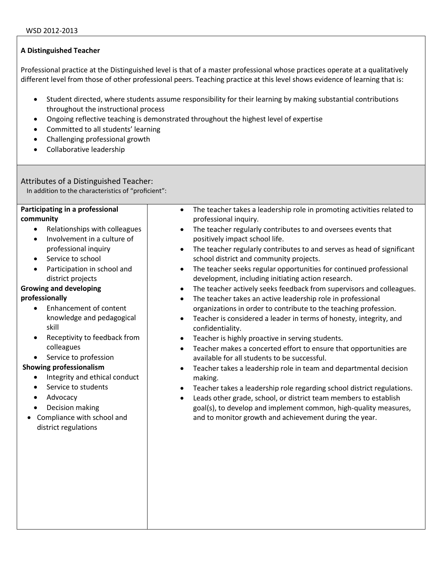Professional practice at the Distinguished level is that of a master professional whose practices operate at a qualitatively different level from those of other professional peers. Teaching practice at this level shows evidence of learning that is:

- Student directed, where students assume responsibility for their learning by making substantial contributions throughout the instructional process
- Ongoing reflective teaching is demonstrated throughout the highest level of expertise
- Committed to all students' learning
- Challenging professional growth
- Collaborative leadership

# Attributes of a Distinguished Teacher:

In addition to the characteristics of "proficient":

# **Participating in a professional**

- **community** 
	- Relationships with colleagues
	- Involvement in a culture of professional inquiry
	- Service to school
	- Participation in school and district projects

# **Growing and developing**

# **professionally**

- Enhancement of content knowledge and pedagogical skill
- Receptivity to feedback from colleagues
- Service to profession

# **Showing professionalism**

- Integrity and ethical conduct
- Service to students
- Advocacy
- Decision making
- Compliance with school and district regulations
- The teacher takes a leadership role in promoting activities related to professional inquiry.
- The teacher regularly contributes to and oversees events that positively impact school life.
- The teacher regularly contributes to and serves as head of significant school district and community projects.
- The teacher seeks regular opportunities for continued professional development, including initiating action research.
- The teacher actively seeks feedback from supervisors and colleagues.
- The teacher takes an active leadership role in professional organizations in order to contribute to the teaching profession.
- Teacher is considered a leader in terms of honesty, integrity, and confidentiality.
- **•** Teacher is highly proactive in serving students.
- Teacher makes a concerted effort to ensure that opportunities are available for all students to be successful.
- Teacher takes a leadership role in team and departmental decision making.
- Teacher takes a leadership role regarding school district regulations.
- Leads other grade, school, or district team members to establish goal(s), to develop and implement common, high-quality measures, and to monitor growth and achievement during the year.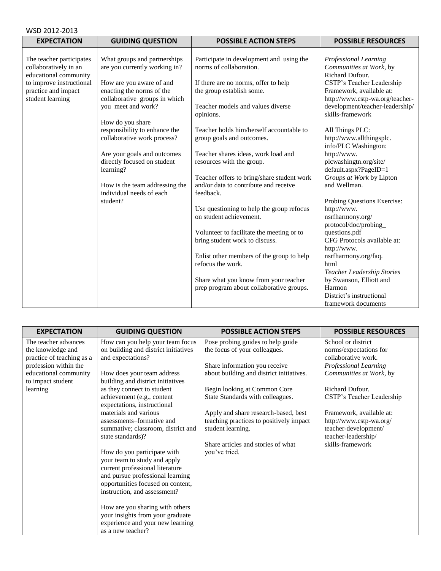| WSD 2012-2013                                                                                                                                     |                                                                                                                                                                                                   |                                                                                                                                                                                            |                                                                                                                                                                                                                        |  |
|---------------------------------------------------------------------------------------------------------------------------------------------------|---------------------------------------------------------------------------------------------------------------------------------------------------------------------------------------------------|--------------------------------------------------------------------------------------------------------------------------------------------------------------------------------------------|------------------------------------------------------------------------------------------------------------------------------------------------------------------------------------------------------------------------|--|
| <b>EXPECTATION</b>                                                                                                                                | <b>GUIDING QUESTION</b>                                                                                                                                                                           | <b>POSSIBLE ACTION STEPS</b>                                                                                                                                                               | <b>POSSIBLE RESOURCES</b>                                                                                                                                                                                              |  |
| The teacher participates<br>collaboratively in an<br>educational community<br>to improve instructional<br>practice and impact<br>student learning | What groups and partnerships<br>are you currently working in?<br>How are you aware of and<br>enacting the norms of the<br>collaborative groups in which<br>you meet and work?<br>How do you share | Participate in development and using the<br>norms of collaboration.<br>If there are no norms, offer to help<br>the group establish some.<br>Teacher models and values diverse<br>opinions. | Professional Learning<br>Communities at Work, by<br>Richard Dufour.<br>CSTP's Teacher Leadership<br>Framework, available at:<br>http://www.cstp-wa.org/teacher-<br>development/teacher-leadership/<br>skills-framework |  |
|                                                                                                                                                   | responsibility to enhance the<br>collaborative work process?                                                                                                                                      | Teacher holds him/herself accountable to<br>group goals and outcomes.                                                                                                                      | All Things PLC:<br>http://www.allthingsplc.<br>info/PLC Washington:                                                                                                                                                    |  |
|                                                                                                                                                   | Are your goals and outcomes<br>directly focused on student<br>learning?<br>How is the team addressing the                                                                                         | Teacher shares ideas, work load and<br>resources with the group.<br>Teacher offers to bring/share student work<br>and/or data to contribute and receive                                    | http://www.<br>plcwashingtn.org/site/<br>default.aspx?PageID=1<br>Groups at Work by Lipton<br>and Wellman.                                                                                                             |  |
|                                                                                                                                                   | individual needs of each<br>student?                                                                                                                                                              | feedback.<br>Use questioning to help the group refocus<br>on student achievement.                                                                                                          | Probing Questions Exercise:<br>http://www.<br>nsrfharmony.org/<br>protocol/doc/probing_                                                                                                                                |  |
|                                                                                                                                                   |                                                                                                                                                                                                   | Volunteer to facilitate the meeting or to<br>bring student work to discuss.                                                                                                                | questions.pdf<br>CFG Protocols available at:<br>http://www.                                                                                                                                                            |  |
|                                                                                                                                                   |                                                                                                                                                                                                   | Enlist other members of the group to help<br>refocus the work.                                                                                                                             | nsrfharmony.org/faq.<br>html<br>Teacher Leadership Stories                                                                                                                                                             |  |
|                                                                                                                                                   |                                                                                                                                                                                                   | Share what you know from your teacher<br>prep program about collaborative groups.                                                                                                          | by Swanson, Elliott and<br>Harmon<br>District's instructional<br>framework documents                                                                                                                                   |  |

| <b>EXPECTATION</b>                                                                              | <b>GUIDING QUESTION</b>                                                                                                                                                                                 | <b>POSSIBLE ACTION STEPS</b>                                                                         | <b>POSSIBLE RESOURCES</b>                                                                          |
|-------------------------------------------------------------------------------------------------|---------------------------------------------------------------------------------------------------------------------------------------------------------------------------------------------------------|------------------------------------------------------------------------------------------------------|----------------------------------------------------------------------------------------------------|
| The teacher advances<br>the knowledge and<br>practice of teaching as a<br>profession within the | How can you help your team focus<br>on building and district initiatives<br>and expectations?                                                                                                           | Pose probing guides to help guide<br>the focus of your colleagues.<br>Share information you receive  | School or district<br>norms/expectations for<br>collaborative work.<br>Professional Learning       |
| educational community<br>to impact student                                                      | How does your team address<br>building and district initiatives                                                                                                                                         | about building and district initiatives.                                                             | Communities at Work, by                                                                            |
| learning                                                                                        | as they connect to student<br>achievement (e.g., content<br>expectations, instructional                                                                                                                 | Begin looking at Common Core<br>State Standards with colleagues.                                     | Richard Dufour.<br>CSTP's Teacher Leadership                                                       |
|                                                                                                 | materials and various<br>assessments-formative and<br>summative; classroom, district and<br>state standards)?                                                                                           | Apply and share research-based, best<br>teaching practices to positively impact<br>student learning. | Framework, available at:<br>http://www.cstp-wa.org/<br>teacher-development/<br>teacher-leadership/ |
|                                                                                                 | How do you participate with<br>your team to study and apply<br>current professional literature<br>and pursue professional learning<br>opportunities focused on content,<br>instruction, and assessment? | Share articles and stories of what<br>you've tried.                                                  | skills-framework                                                                                   |
|                                                                                                 | How are you sharing with others<br>your insights from your graduate<br>experience and your new learning<br>as a new teacher?                                                                            |                                                                                                      |                                                                                                    |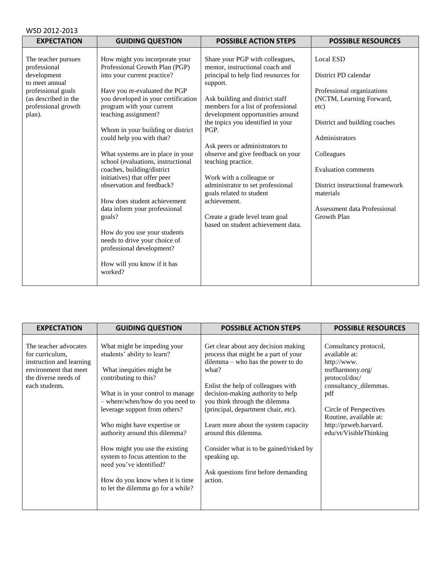| WSD 2012-2013                                                                                                                                       |                                                                                                                                                                                                                                                                                                                                                                                                                                                                                                                                                                                                                                                                                         |                                                                                                                                                                                                                                                                                                                                                                                                                                                                                                                                                                    |                                                                                                                                                                                                                                                                                                           |
|-----------------------------------------------------------------------------------------------------------------------------------------------------|-----------------------------------------------------------------------------------------------------------------------------------------------------------------------------------------------------------------------------------------------------------------------------------------------------------------------------------------------------------------------------------------------------------------------------------------------------------------------------------------------------------------------------------------------------------------------------------------------------------------------------------------------------------------------------------------|--------------------------------------------------------------------------------------------------------------------------------------------------------------------------------------------------------------------------------------------------------------------------------------------------------------------------------------------------------------------------------------------------------------------------------------------------------------------------------------------------------------------------------------------------------------------|-----------------------------------------------------------------------------------------------------------------------------------------------------------------------------------------------------------------------------------------------------------------------------------------------------------|
| <b>EXPECTATION</b>                                                                                                                                  | <b>GUIDING QUESTION</b>                                                                                                                                                                                                                                                                                                                                                                                                                                                                                                                                                                                                                                                                 | <b>POSSIBLE ACTION STEPS</b>                                                                                                                                                                                                                                                                                                                                                                                                                                                                                                                                       | <b>POSSIBLE RESOURCES</b>                                                                                                                                                                                                                                                                                 |
| The teacher pursues<br>professional<br>development<br>to meet annual<br>professional goals<br>(as described in the<br>professional growth<br>plan). | How might you incorporate your<br>Professional Growth Plan (PGP)<br>into your current practice?<br>Have you re-evaluated the PGP<br>you developed in your certification<br>program with your current<br>teaching assignment?<br>Whom in your building or district<br>could help you with that?<br>What systems are in place in your<br>school (evaluations, instructional<br>coaches, building/district<br>initiatives) that offer peer<br>observation and feedback?<br>How does student achievement<br>data inform your professional<br>goals?<br>How do you use your students<br>needs to drive your choice of<br>professional development?<br>How will you know if it has<br>worked? | Share your PGP with colleagues,<br>mentor, instructional coach and<br>principal to help find resources for<br>support.<br>Ask building and district staff<br>members for a list of professional<br>development opportunities around<br>the topics you identified in your<br>PGP.<br>Ask peers or administrators to<br>observe and give feedback on your<br>teaching practice.<br>Work with a colleague or<br>administrator to set professional<br>goals related to student<br>achievement.<br>Create a grade level team goal<br>based on student achievement data. | <b>Local ESD</b><br>District PD calendar<br>Professional organizations<br>(NCTM, Learning Forward,<br>etc)<br>District and building coaches<br>Administrators<br>Colleagues<br><b>Evaluation comments</b><br>District instructional framework<br>materials<br>Assessment data Professional<br>Growth Plan |

| <b>EXPECTATION</b>                                                                                                                      | <b>GUIDING QUESTION</b>                                                                                                                                                                                                                                                                                                                                                                                                                                               | <b>POSSIBLE ACTION STEPS</b>                                                                                                                                                                                                                                                                                                                                                                                                                               | <b>POSSIBLE RESOURCES</b>                                                                                                                                                                                                         |
|-----------------------------------------------------------------------------------------------------------------------------------------|-----------------------------------------------------------------------------------------------------------------------------------------------------------------------------------------------------------------------------------------------------------------------------------------------------------------------------------------------------------------------------------------------------------------------------------------------------------------------|------------------------------------------------------------------------------------------------------------------------------------------------------------------------------------------------------------------------------------------------------------------------------------------------------------------------------------------------------------------------------------------------------------------------------------------------------------|-----------------------------------------------------------------------------------------------------------------------------------------------------------------------------------------------------------------------------------|
| The teacher advocates<br>for curriculum,<br>instruction and learning<br>environment that meet<br>the diverse needs of<br>each students. | What might be impeding your<br>students' ability to learn?<br>What inequities might be.<br>contributing to this?<br>What is in your control to manage.<br>- where/when/how do you need to<br>leverage support from others?<br>Who might have expertise or<br>authority around this dilemma?<br>How might you use the existing<br>system to focus attention to the<br>need you've identified?<br>How do you know when it is time<br>to let the dilemma go for a while? | Get clear about any decision making<br>process that might be a part of your<br>dilemma – who has the power to do<br>what?<br>Enlist the help of colleagues with<br>decision-making authority to help<br>you think through the dilemma<br>(principal, department chair, etc).<br>Learn more about the system capacity<br>around this dilemma.<br>Consider what is to be gained/risked by<br>speaking up.<br>Ask questions first before demanding<br>action. | Consultancy protocol,<br>available at:<br>http://www.<br>nsrfharmony.org/<br>protocol/doc/<br>consultancy_dilemmas.<br>pdf<br>Circle of Perspectives<br>Routine, available at:<br>http://pzweb.harvard.<br>edu/vt/VisibleThinking |